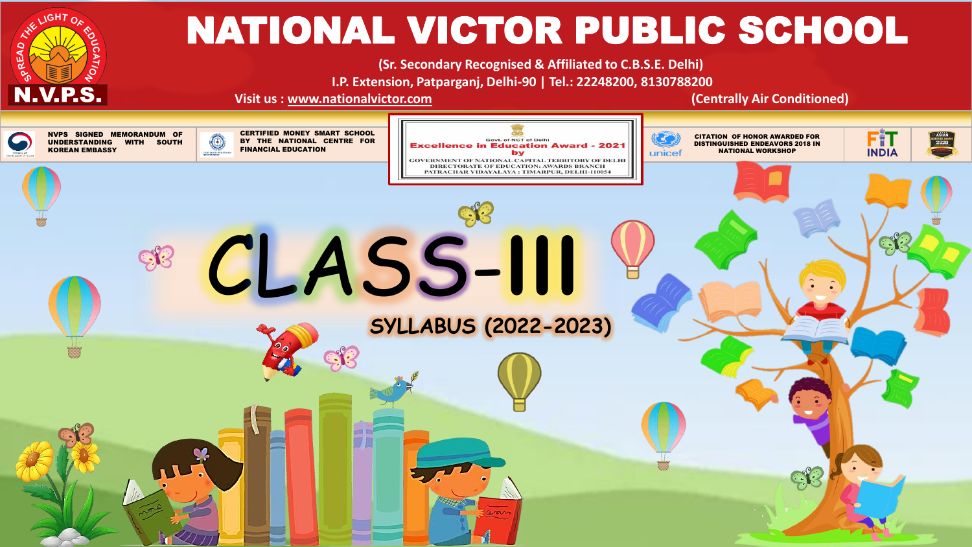

# NATIONAL VICTOR PUBLIC SCHOOL

**(Sr. Secondary Recognised & Affiliated to C.B.S.E. Delhi) I.P. Extension, Patparganj, Delhi-90 | Tel.: 22248200, 8130788200**

**Visit us : [www.nationalvictor.com](http://www.nationalvictor.com/) (Centrally Air Conditioned)**

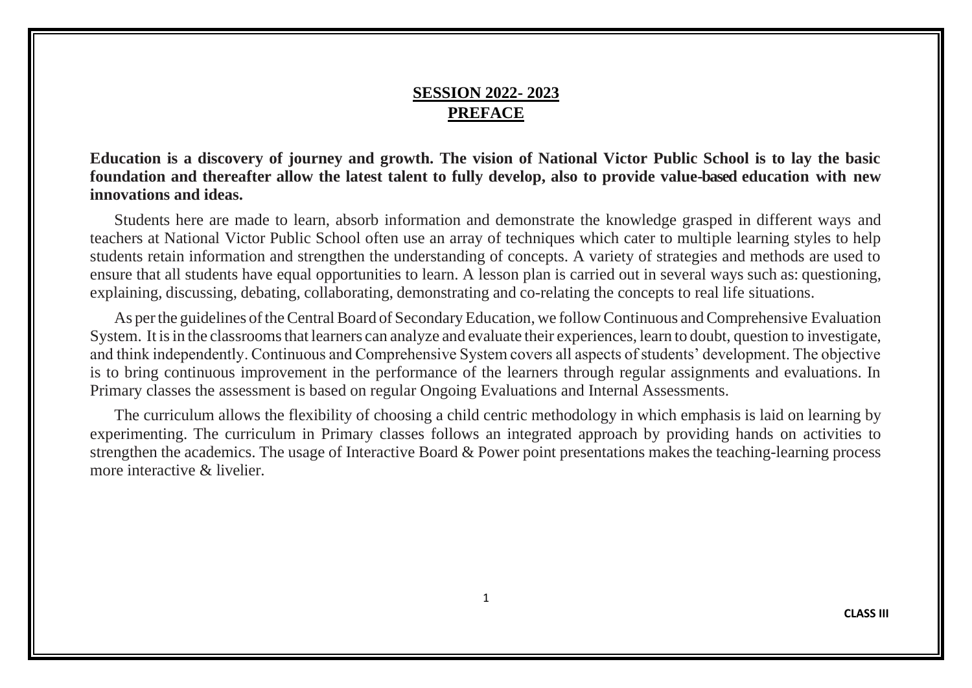#### **SESSION 2022- 2023 PREFACE**

**Education is a discovery of journey and growth. The vision of National Victor Public School is to lay the basic foundation and thereafter allow the latest talent to fully develop, also to provide value-based education with new innovations and ideas.**

Students here are made to learn, absorb information and demonstrate the knowledge grasped in different ways and teachers at National Victor Public School often use an array of techniques which cater to multiple learning styles to help students retain information and strengthen the understanding of concepts. A variety of strategies and methods are used to ensure that all students have equal opportunities to learn. A lesson plan is carried out in several ways such as: questioning, explaining, discussing, debating, collaborating, demonstrating and co-relating the concepts to real life situations.

As per the guidelines of the Central Board of Secondary Education, we follow Continuous and Comprehensive Evaluation System. It is in the classrooms that learners can analyze and evaluate their experiences, learn to doubt, question to investigate, and think independently. Continuous and Comprehensive System covers all aspects of students' development. The objective is to bring continuous improvement in the performance of the learners through regular assignments and evaluations. In Primary classes the assessment is based on regular Ongoing Evaluations and Internal Assessments.

The curriculum allows the flexibility of choosing a child centric methodology in which emphasis is laid on learning by experimenting. The curriculum in Primary classes follows an integrated approach by providing hands on activities to strengthen the academics. The usage of Interactive Board & Power point presentations makes the teaching-learning process more interactive & livelier.

1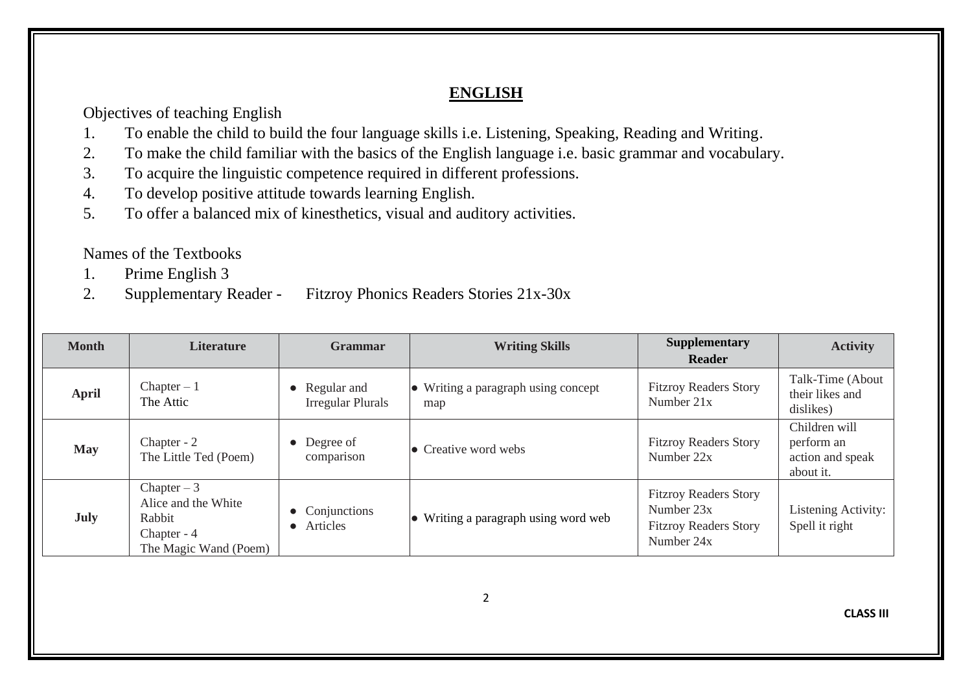## **ENGLISH**

Objectives of teaching English

- 1. To enable the child to build the four language skills i.e. Listening, Speaking, Reading and Writing.
- 2. To make the child familiar with the basics of the English language i.e. basic grammar and vocabulary.
- 3. To acquire the linguistic competence required in different professions.
- 4. To develop positive attitude towards learning English.
- 5. To offer a balanced mix of kinesthetics, visual and auditory activities.

Names of the Textbooks

- 1. Prime English 3
- 2. Supplementary Reader Fitzroy Phonics Readers Stories 21x-30x

| <b>Month</b> | <b>Literature</b>                                                                     | <b>Grammar</b>                                       | <b>Writing Skills</b>                      | <b>Supplementary</b><br><b>Reader</b>                                                    | <b>Activity</b>                                              |
|--------------|---------------------------------------------------------------------------------------|------------------------------------------------------|--------------------------------------------|------------------------------------------------------------------------------------------|--------------------------------------------------------------|
| <b>April</b> | $Chapter - 1$<br>The Attic                                                            | Regular and<br>$\bullet$<br><b>Irregular Plurals</b> | • Writing a paragraph using concept<br>map | <b>Fitzroy Readers Story</b><br>Number $21x$                                             | Talk-Time (About)<br>their likes and<br>dislikes)            |
| <b>May</b>   | Chapter - 2<br>The Little Ted (Poem)                                                  | Degree of<br>$\bullet$<br>comparison                 | $\bullet$ Creative word webs               | <b>Fitzroy Readers Story</b><br>Number 22x                                               | Children will<br>perform an<br>action and speak<br>about it. |
| July         | Chapter $-3$<br>Alice and the White<br>Rabbit<br>Chapter - 4<br>The Magic Wand (Poem) | Conjunctions<br>Articles<br>$\bullet$                | • Writing a paragraph using word web       | <b>Fitzroy Readers Story</b><br>Number 23x<br><b>Fitzroy Readers Story</b><br>Number 24x | Listening Activity:<br>Spell it right                        |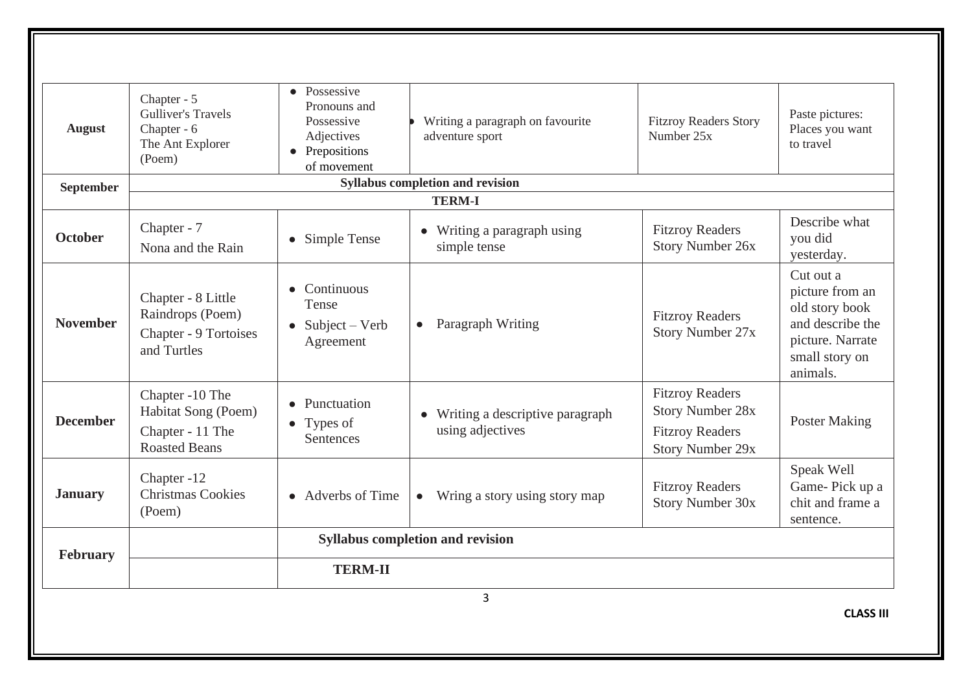|                                                            |                                                                                       | <b>TERM-II</b>                                                                            | 3                                                     |                                                                                                        |                                                                                                                      |
|------------------------------------------------------------|---------------------------------------------------------------------------------------|-------------------------------------------------------------------------------------------|-------------------------------------------------------|--------------------------------------------------------------------------------------------------------|----------------------------------------------------------------------------------------------------------------------|
| <b>Syllabus</b> completion and revision<br><b>February</b> |                                                                                       |                                                                                           |                                                       |                                                                                                        |                                                                                                                      |
| <b>January</b>                                             | Chapter -12<br><b>Christmas Cookies</b><br>(Poem)                                     | • Adverbs of Time                                                                         | Wring a story using story map<br>$\bullet$            | <b>Fitzroy Readers</b><br><b>Story Number 30x</b>                                                      | Speak Well<br>Game-Pick up a<br>chit and frame a<br>sentence.                                                        |
| <b>December</b>                                            | Chapter -10 The<br>Habitat Song (Poem)<br>Chapter - 11 The<br><b>Roasted Beans</b>    | Punctuation<br>$\bullet$ Types of<br>Sentences                                            | • Writing a descriptive paragraph<br>using adjectives | <b>Fitzroy Readers</b><br><b>Story Number 28x</b><br><b>Fitzroy Readers</b><br><b>Story Number 29x</b> | <b>Poster Making</b>                                                                                                 |
| <b>November</b>                                            | Chapter - 8 Little<br>Raindrops (Poem)<br>Chapter - 9 Tortoises<br>and Turtles        | Continuous<br>Tense<br>$Subject - Verb$<br>$\bullet$<br>Agreement                         | Paragraph Writing<br>$\bullet$                        | <b>Fitzroy Readers</b><br><b>Story Number 27x</b>                                                      | Cut out a<br>picture from an<br>old story book<br>and describe the<br>picture. Narrate<br>small story on<br>animals. |
| <b>October</b>                                             | Chapter - 7<br>Nona and the Rain                                                      | Simple Tense<br>$\bullet$                                                                 | • Writing a paragraph using<br>simple tense           | <b>Fitzroy Readers</b><br><b>Story Number 26x</b>                                                      | Describe what<br>you did<br>yesterday.                                                                               |
|                                                            |                                                                                       |                                                                                           | <b>TERM-I</b>                                         |                                                                                                        |                                                                                                                      |
| <b>September</b>                                           |                                                                                       |                                                                                           | <b>Syllabus completion and revision</b>               |                                                                                                        |                                                                                                                      |
| <b>August</b>                                              | Chapter - 5<br><b>Gulliver's Travels</b><br>Chapter - 6<br>The Ant Explorer<br>(Poem) | • Possessive<br>Pronouns and<br>Possessive<br>Adjectives<br>• Prepositions<br>of movement | Writing a paragraph on favourite<br>adventure sport   | <b>Fitzroy Readers Story</b><br>Number 25x                                                             | Paste pictures:<br>Places you want<br>to travel                                                                      |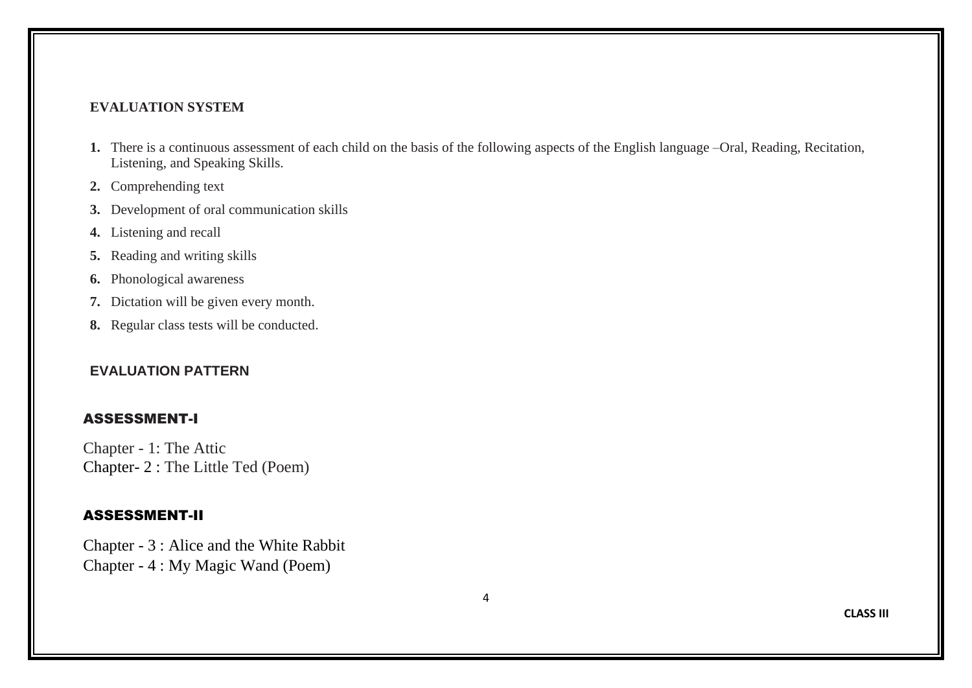#### **EVALUATION SYSTEM**

- **1.** There is a continuous assessment of each child on the basis of the following aspects of the English language –Oral, Reading, Recitation, Listening, and Speaking Skills.
- **2.** Comprehending text
- **3.** Development of oral communication skills
- **4.** Listening and recall
- **5.** Reading and writing skills
- **6.** Phonological awareness
- **7.** Dictation will be given every month.
- **8.** Regular class tests will be conducted.

#### **EVALUATION PATTERN**

#### ASSESSMENT-I

Chapter - 1: The Attic Chapter- 2 : The Little Ted (Poem)

#### ASSESSMENT-II

Chapter - 3 : Alice and the White Rabbit Chapter - 4 : My Magic Wand (Poem)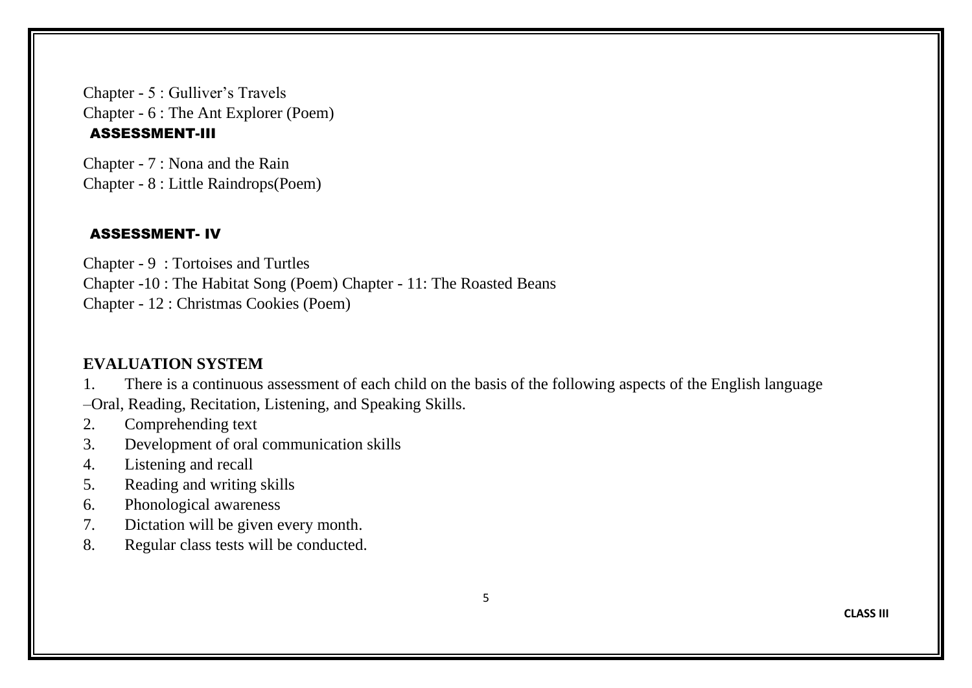Chapter - 5 : Gulliver's Travels Chapter - 6 : The Ant Explorer (Poem) ASSESSMENT-III

Chapter - 7 : Nona and the Rain Chapter - 8 : Little Raindrops(Poem)

#### ASSESSMENT- IV

Chapter - 9 : Tortoises and Turtles Chapter -10 : The Habitat Song (Poem) Chapter - 11: The Roasted Beans Chapter - 12 : Christmas Cookies (Poem)

#### **EVALUATION SYSTEM**

1. There is a continuous assessment of each child on the basis of the following aspects of the English language –Oral, Reading, Recitation, Listening, and Speaking Skills.

- 2. Comprehending text
- 3. Development of oral communication skills
- 4. Listening and recall
- 5. Reading and writing skills
- 6. Phonological awareness
- 7. Dictation will be given every month.
- 8. Regular class tests will be conducted.

5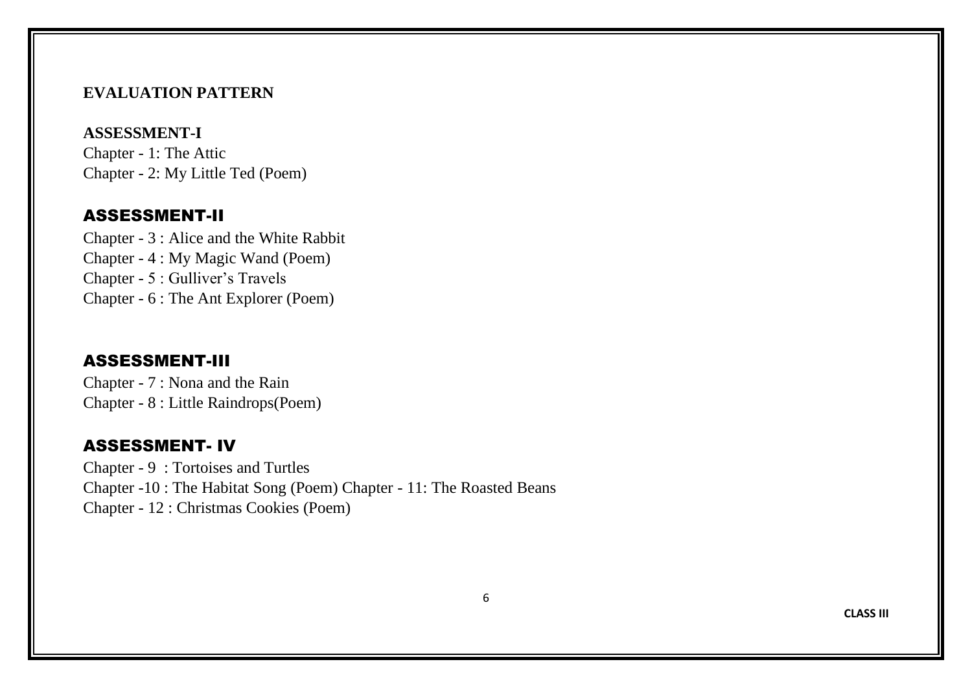#### **EVALUATION PATTERN**

## **ASSESSMENT-I**

Chapter - 1: The Attic Chapter - 2: My Little Ted (Poem)

## ASSESSMENT-II

Chapter - 3 : Alice and the White Rabbit Chapter - 4 : My Magic Wand (Poem) Chapter - 5 : Gulliver's Travels Chapter - 6 : The Ant Explorer (Poem)

#### ASSESSMENT-III

Chapter - 7 : Nona and the Rain Chapter - 8 : Little Raindrops(Poem)

## ASSESSMENT- IV

Chapter - 9 : Tortoises and Turtles Chapter -10 : The Habitat Song (Poem) Chapter - 11: The Roasted Beans Chapter - 12 : Christmas Cookies (Poem)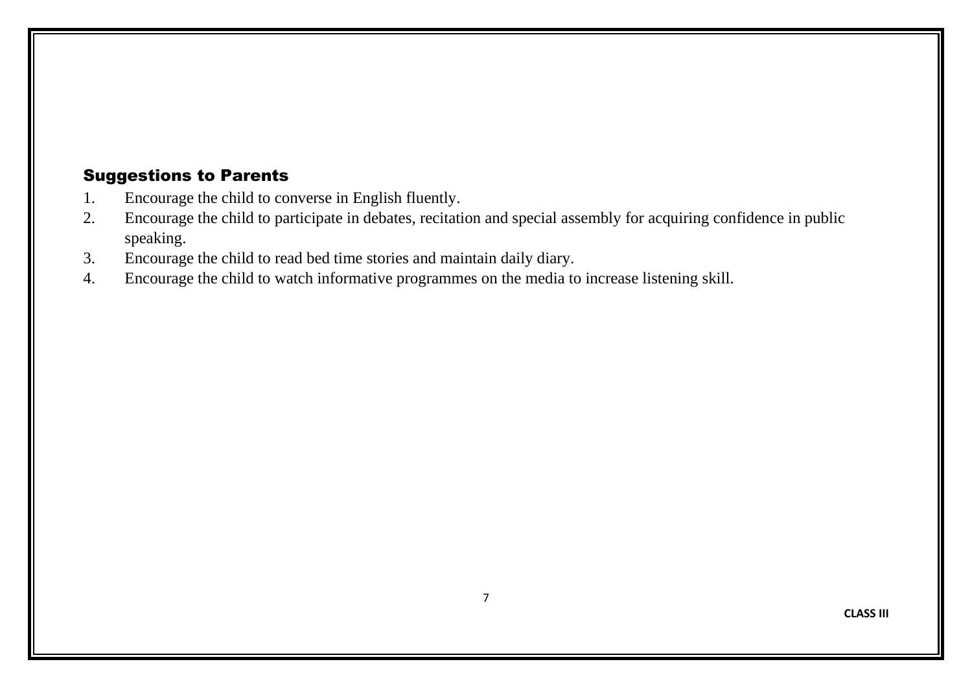- 1. Encourage the child to converse in English fluently.
- 2. Encourage the child to participate in debates, recitation and special assembly for acquiring confidence in public speaking.
- 3. Encourage the child to read bed time stories and maintain daily diary.
- 4. Encourage the child to watch informative programmes on the media to increase listening skill.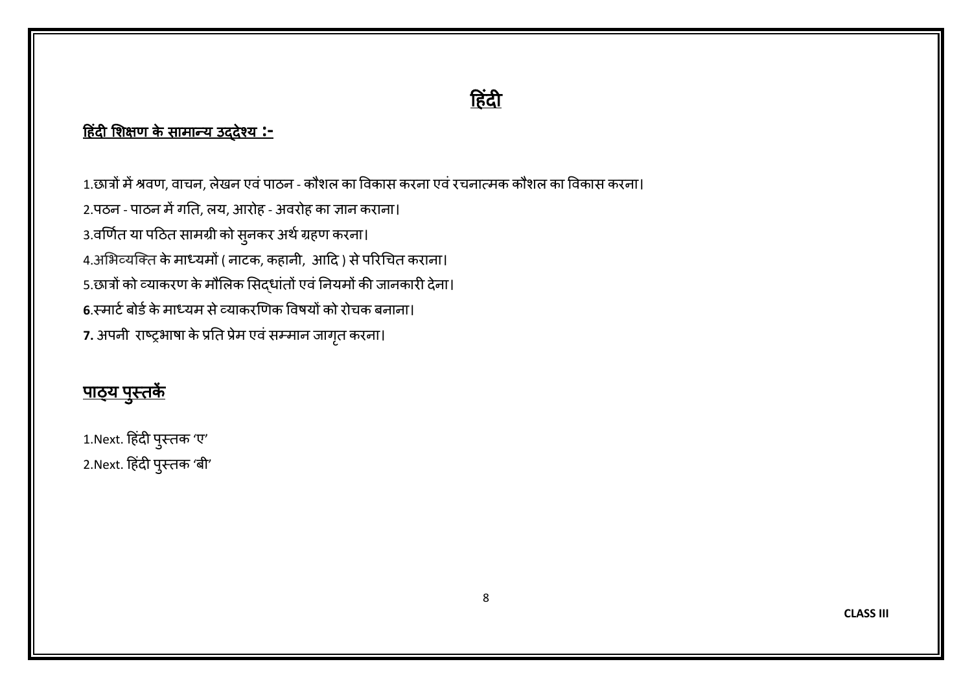# <u>हिंदी</u>

# ह िंदी शिक्षण के सामान्य उद्देश्य **:-**

1.छात्रों में श्रवण, वाचन, लेखन एवं पाठन - कौशल का विकास करना एवं रचनात्मक कौशल का विकास करना। 2.पठन - पाठन में गति, लय, आरोह - अवरोह का ज्ञान कराना। 3.वर्णित या पठित सामग्री को सुनकर अर्थ ग्रहण करना। 4.अभिव्यक्ति के माध्यमों ( नाटक, कहानी, आदि ) से परिचित कराना। 5.छात्रों को व्याकरण के मौलिक सिद्धांतों एवं नियमों की जानकारी देना। **6**.स्माटिबोर्िकेमाध्यम सेव्याकरर्णक ववषयों को रोचक बनाना। 7. अपनी राष्ट्रभाषा के प्रति प्रेम एवं सम्मान जागृत करना।

# <u>पाठ्य पुस्तक</u>ें

1.Next. हिंदी पुस्तक 'ए' 2.Next. हिंदी पुस्तक 'बी'

**CLASS III**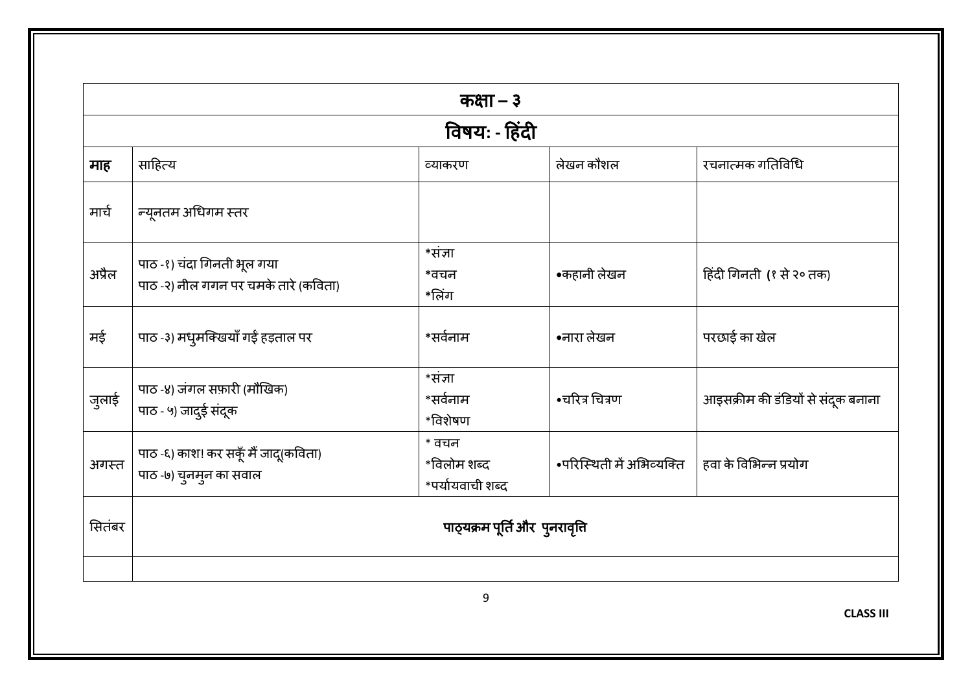| माह    |                                                                    | विषय: - हिंदी                            |                           |                                    |
|--------|--------------------------------------------------------------------|------------------------------------------|---------------------------|------------------------------------|
|        |                                                                    |                                          |                           |                                    |
|        | साहित्य                                                            | व्याकरण                                  | लेखन कौशल                 | रचनात्मक गतिविधि                   |
| मार्च  | न्यूनतम अधिगम स्तर                                                 |                                          |                           |                                    |
| अप्रैल | पाठ -१) चंदा गिनती भूल गया<br>पाठ -२) नील गगन पर चमके तारे (कविता) | $*$ संज्ञा<br>*वचन<br>*लिंग              | •कहानी लेखन               | हिंदी गिनती (१ से २० तक)           |
| मई     | पाठ -३) मधुमक्खियाँ गईं हड़ताल पर                                  | *सर्वनाम                                 | •नारा लेखन                | परछाई का खेल                       |
| जुलाई  | पाठ-४) जंगल सफ़ारी (मौखिक)<br>पाठ - ५) जादुई संदूक                 | *संज्ञा<br>*सर्वनाम<br>$*$ विशेषण        | •चरित्र चित्रण            | आइसक्रीम की डंडियों से संदूक बनाना |
| अगस्त  | पाठ -६) काश! कर सकूँ मैं जादू(कविता)<br>पाठ -७) चुनमुन का सवाल     | * वचन<br>*विलोम शब्द<br>*पर्यायवाची शब्द | •परिस्थिती में अभिव्यक्ति | हवा के विभिन्न प्रयोग              |
| सितंबर |                                                                    | पाठ्यक्रम पूर्ति और पुनरावृति            |                           |                                    |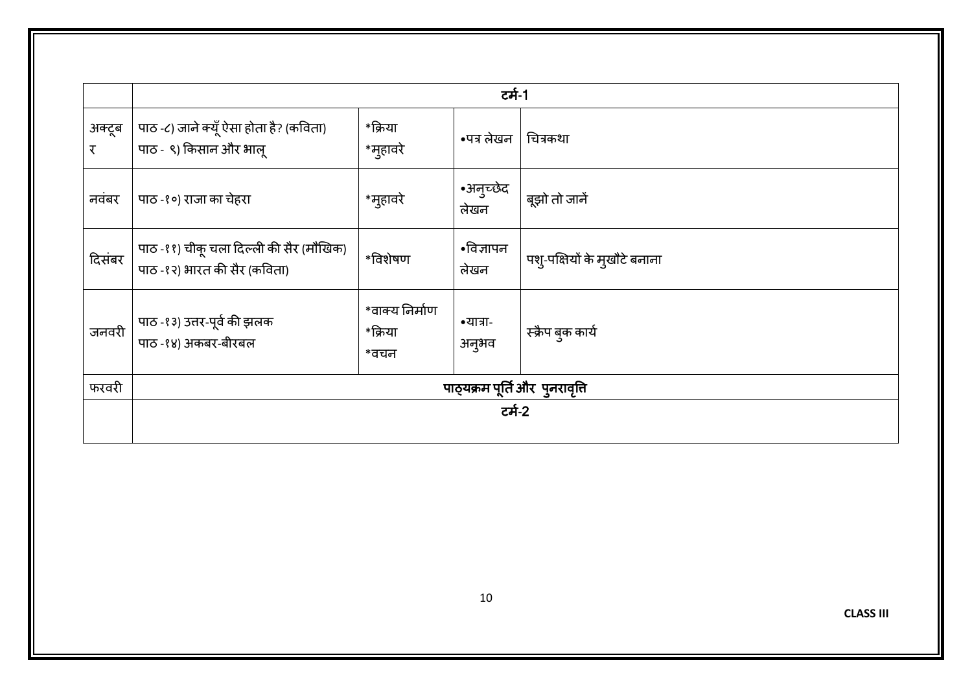|             |                                                                         |                                   | टर्म-1            |                              |
|-------------|-------------------------------------------------------------------------|-----------------------------------|-------------------|------------------------------|
| अक्टूब<br>र | पाठ -८) जाने क्यूँ ऐसा होता है? (कविता)<br>पाठ - ९) किसान और भालू       | *क्रिया<br>*मुहावरे               | •पत्र लेखन        | चित्रकथा                     |
| नवंबर       | पाठ -१०) राजा का चेहरा                                                  | *मुहावरे                          | •अनुच्छेद<br>लेखन | बूझो तो जानें                |
| दिसंबर      | पाठ -११) चीकू चला दिल्ली की सैर (मौखिक)<br>पाठ -१२) भारत की सैर (कविता) | *विशेषण                           | •विज्ञापन<br>लेखन | पशु-पक्षियों के मुखौटे बनाना |
| जनवरी       | पाठ -१३) उत्तर-पूर्व की झलक<br>पाठ -१४) अकबर-बीरबल                      | *वाक्य निर्माण<br>*क्रिया<br>*वचन | •यात्रा-<br>अनुभव | स्क्रैप बुक कार्य            |
| फरवरी       | पाठ्यक्रम पूर्ति और पुनरावृत्ति                                         |                                   |                   |                              |
|             |                                                                         |                                   | टर्म-2            |                              |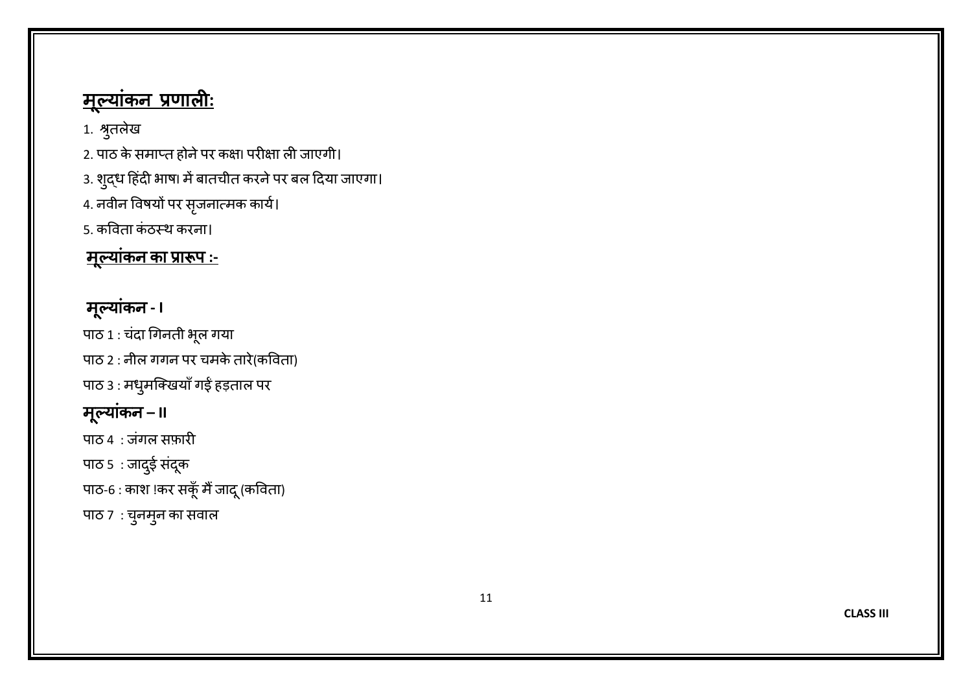# <u>मूल्याकन प्रणालीः</u>

1. श्रुतलेख

2. पाठ के समाप्त होने पर कक्षा परीक्षा ली जाएगी।

3. शुद्ध हिंदी भाषा में बातचीत करने पर बल दिया जाएगा।

4. नवीन विषयों पर सृजनात्मक कार्य।

5. कविता कंठस्थ करना।

# <u>मूल्याकन का प्रारूप :-</u>

# मूल्याकन - I

पाठ 1 : चंदा गिनती भूल गया पाठ 2 : नील गगन पर चमके तारे(कविता) पाठ 3 : मधुमनिखयाँ गईं हड़ताल पर मूल्याकिं न **– II** पाठ 4 : जिंगल सफ़ारी पाठ 5 : जादुई सदूक पाठ-6 : काश !कर सकूं मैं जादू (कविता)

पाठ 7 : चुनमुन का सवाल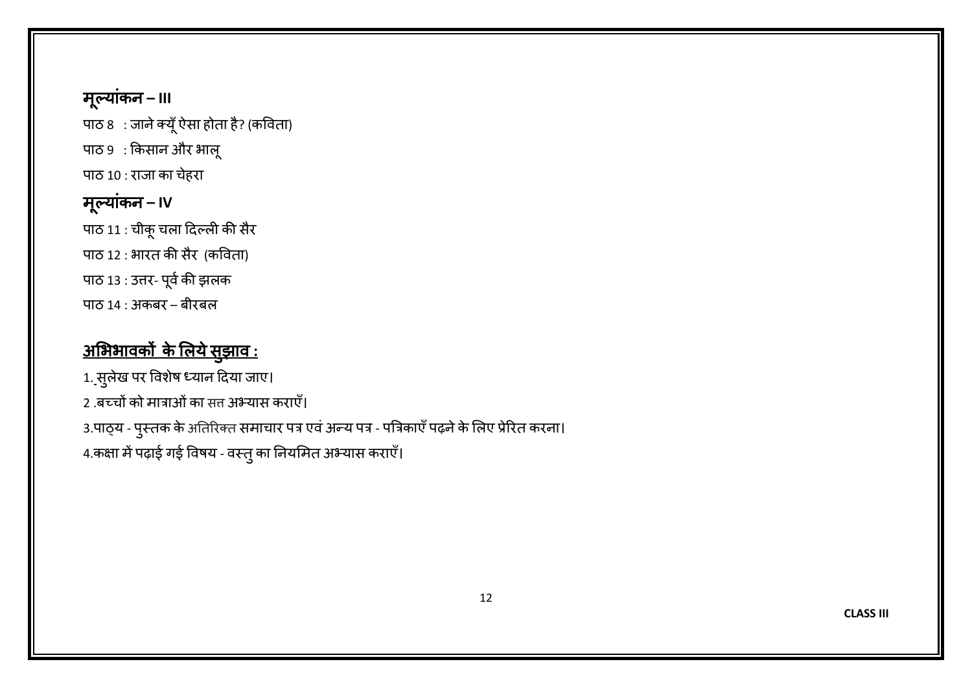म ूल्याकिं न **– III**

पाठ 8 : जाने क्यूँ ऐसा होता है? (कविता)

पाठ 9 : किसान और भालू

पाठ 10 : राजा का चेहरा

# म ूल्याकिं न **– IV**

पाठ 11 : चीकूचला हदल्ली की सैर पाठ 12 : भारत की सैर (कविता) पाठ 13 : उत्तर- पूर्व की झलक पाठ 14 : अकबर – बीरबल

# <u>अभिभावकों के लिये सुझाव :</u>

1. सुलेख पर विशेष ध्यान दिया जाए। 2 .बच्चों को मात्राओं का सत्त अभ्यास कराएँ। 3.पाठ्य - पुस्तक के अतिरिक्त समाचार पत्र एवं अन्य पत्र - पत्रिकाएँ पढ़ने के लिए प्रेरित करना। 4.कक्षा में पढ़ाई गई विषय - वस्तु का नियमित अभ्यास कराएँ।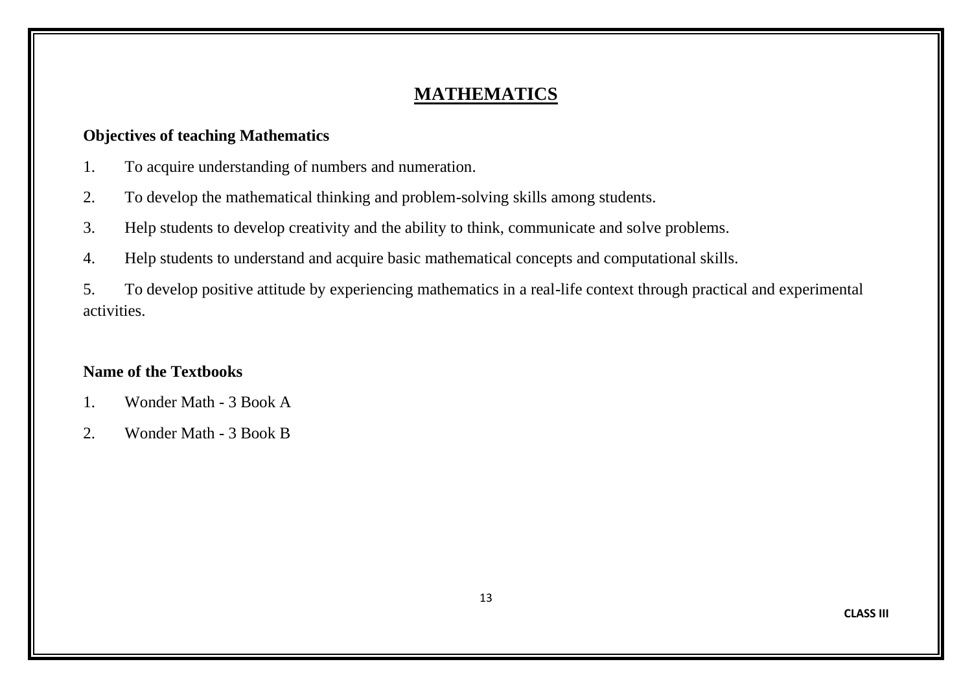# **MATHEMATICS**

### **Objectives of teaching Mathematics**

- 1. To acquire understanding of numbers and numeration.
- 2. To develop the mathematical thinking and problem-solving skills among students.
- 3. Help students to develop creativity and the ability to think, communicate and solve problems.
- 4. Help students to understand and acquire basic mathematical concepts and computational skills.

5. To develop positive attitude by experiencing mathematics in a real-life context through practical and experimental activities.

# **Name of the Textbooks**

- 1. Wonder Math 3 Book A
- 2. Wonder Math 3 Book B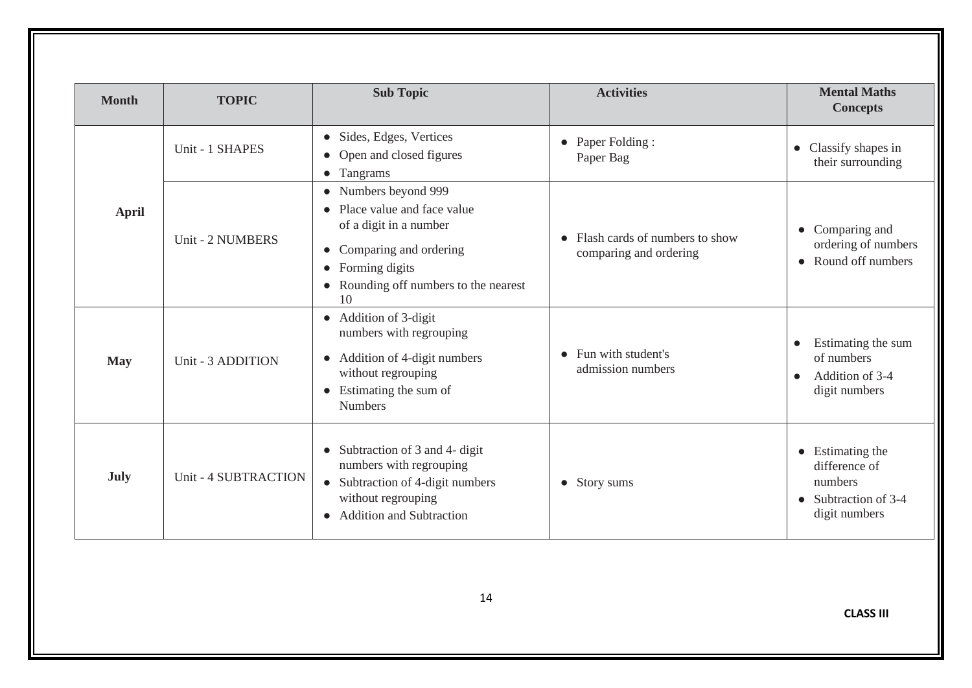| <b>Month</b> | <b>TOPIC</b>         | <b>Sub Topic</b>                                                                                                                                                                                                          | <b>Activities</b>                                        | <b>Mental Maths</b><br><b>Concepts</b>                                                                |
|--------------|----------------------|---------------------------------------------------------------------------------------------------------------------------------------------------------------------------------------------------------------------------|----------------------------------------------------------|-------------------------------------------------------------------------------------------------------|
|              | Unit - 1 SHAPES      | Sides, Edges, Vertices<br>$\bullet$<br>Open and closed figures<br>$\bullet$<br>• Tangrams                                                                                                                                 | • Paper Folding :<br>Paper Bag                           | Classify shapes in<br>$\bullet$<br>their surrounding                                                  |
| <b>April</b> | Unit - 2 NUMBERS     | • Numbers beyond 999<br>Place value and face value<br>$\bullet$<br>of a digit in a number<br>Comparing and ordering<br>$\bullet$<br>Forming digits<br>$\bullet$<br>Rounding off numbers to the nearest<br>$\bullet$<br>10 | Flash cards of numbers to show<br>comparing and ordering | $\bullet$ Comparing and<br>ordering of numbers<br>Round off numbers<br>$\bullet$                      |
| <b>May</b>   | Unit - 3 ADDITION    | • Addition of 3-digit<br>numbers with regrouping<br>Addition of 4-digit numbers<br>$\bullet$<br>without regrouping<br>• Estimating the sum of<br><b>Numbers</b>                                                           | • Fun with student's<br>admission numbers                | Estimating the sum<br>of numbers<br>Addition of 3-4<br>$\bullet$<br>digit numbers                     |
| July         | Unit - 4 SUBTRACTION | Subtraction of 3 and 4- digit<br>$\bullet$<br>numbers with regrouping<br>• Subtraction of 4-digit numbers<br>without regrouping<br><b>Addition and Subtraction</b><br>$\bullet$                                           | • Story sums                                             | $\bullet$ Estimating the<br>difference of<br>numbers<br>$\bullet$ Subtraction of 3-4<br>digit numbers |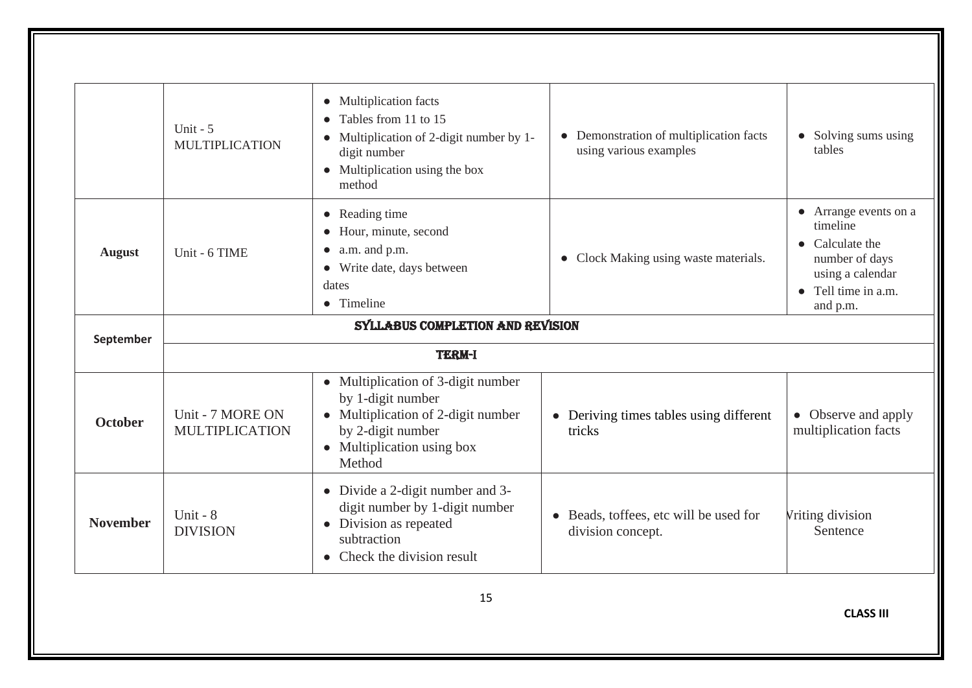|                 | Unit - $5$<br><b>MULTIPLICATION</b>       | • Multiplication facts<br>• Tables from 11 to 15<br>Multiplication of 2-digit number by 1-<br>$\bullet$<br>digit number<br>• Multiplication using the box<br>method | • Demonstration of multiplication facts<br>using various examples      | • Solving sums using<br>tables                                                                                                                |  |
|-----------------|-------------------------------------------|---------------------------------------------------------------------------------------------------------------------------------------------------------------------|------------------------------------------------------------------------|-----------------------------------------------------------------------------------------------------------------------------------------------|--|
| <b>August</b>   | Unit - 6 TIME                             | • Reading time<br>• Hour, minute, second<br>$\bullet$ a.m. and p.m.<br>• Write date, days between<br>dates<br>• Timeline                                            | • Clock Making using waste materials.                                  | • Arrange events on a<br>timeline<br>$\bullet$ Calculate the<br>number of days<br>using a calendar<br>$\bullet$ Tell time in a.m.<br>and p.m. |  |
|                 | SYLLABUS COMPLETION AND REVISION          |                                                                                                                                                                     |                                                                        |                                                                                                                                               |  |
| September       | <b>TERM-I</b>                             |                                                                                                                                                                     |                                                                        |                                                                                                                                               |  |
| <b>October</b>  | Unit - 7 MORE ON<br><b>MULTIPLICATION</b> | • Multiplication of 3-digit number<br>by 1-digit number<br>• Multiplication of 2-digit number<br>by 2-digit number<br>• Multiplication using box<br>Method          | • Deriving times tables using different<br>tricks                      | • Observe and apply<br>multiplication facts                                                                                                   |  |
| <b>November</b> | Unit - $8$<br><b>DIVISION</b>             | • Divide a 2-digit number and 3-<br>digit number by 1-digit number<br>• Division as repeated<br>subtraction<br>$\bullet$ Check the division result                  | Beads, toffees, etc will be used for<br>$\bullet$<br>division concept. | Vriting division<br>Sentence                                                                                                                  |  |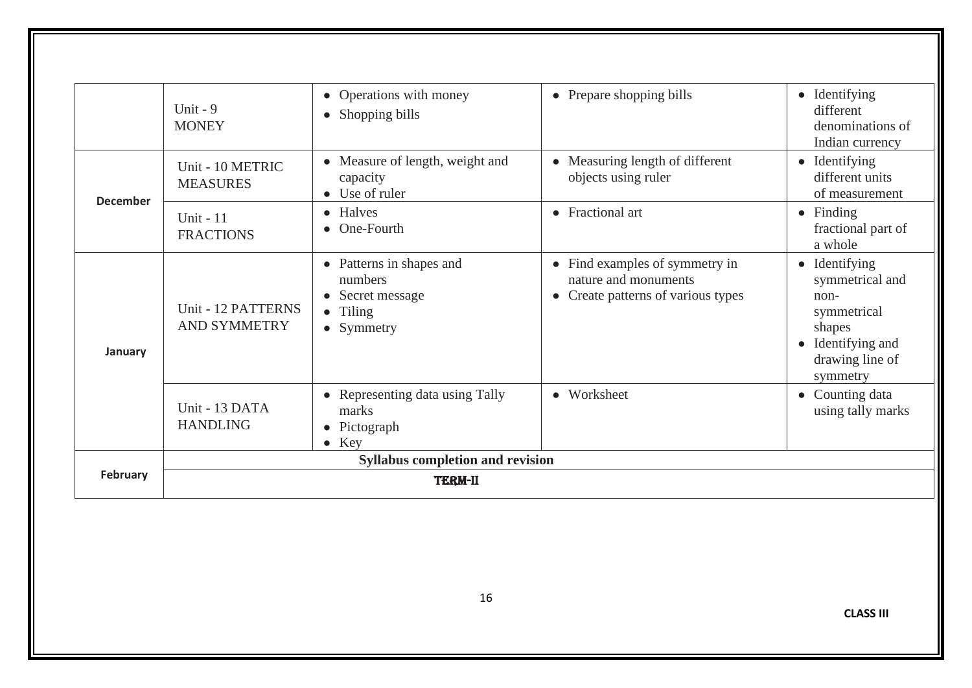|                 |                                           | Operations with money<br>$\bullet$                                                              | • Prepare shopping bills                                                                     | $\bullet$ Identifying                                                                                                   |
|-----------------|-------------------------------------------|-------------------------------------------------------------------------------------------------|----------------------------------------------------------------------------------------------|-------------------------------------------------------------------------------------------------------------------------|
|                 | Unit - $9$<br><b>MONEY</b>                | Shopping bills<br>$\bullet$                                                                     |                                                                                              | different<br>denominations of<br>Indian currency                                                                        |
| <b>December</b> | Unit - 10 METRIC<br><b>MEASURES</b>       | • Measure of length, weight and<br>capacity<br>• Use of ruler                                   | • Measuring length of different<br>objects using ruler                                       | $\bullet$ Identifying<br>different units<br>of measurement                                                              |
|                 | Unit $-11$<br><b>FRACTIONS</b>            | • Halves<br>• One-Fourth                                                                        | • Fractional art                                                                             | $\bullet$ Finding<br>fractional part of<br>a whole                                                                      |
| January         | Unit - 12 PATTERNS<br><b>AND SYMMETRY</b> | • Patterns in shapes and<br>numbers<br>Secret message<br>$\bullet$ Tiling<br>• Symmetry         | • Find examples of symmetry in<br>nature and monuments<br>• Create patterns of various types | • Identifying<br>symmetrical and<br>$non-$<br>symmetrical<br>shapes<br>• Identifying and<br>drawing line of<br>symmetry |
|                 | Unit - 13 DATA<br><b>HANDLING</b>         | Representing data using Tally<br>$\bullet$<br>marks<br>Pictograph<br>$\bullet$<br>$\bullet$ Key | • Worksheet                                                                                  | Counting data<br>$\bullet$<br>using tally marks                                                                         |
|                 |                                           | <b>Syllabus completion and revision</b>                                                         |                                                                                              |                                                                                                                         |
| <b>February</b> |                                           | <b>TERM-II</b>                                                                                  |                                                                                              |                                                                                                                         |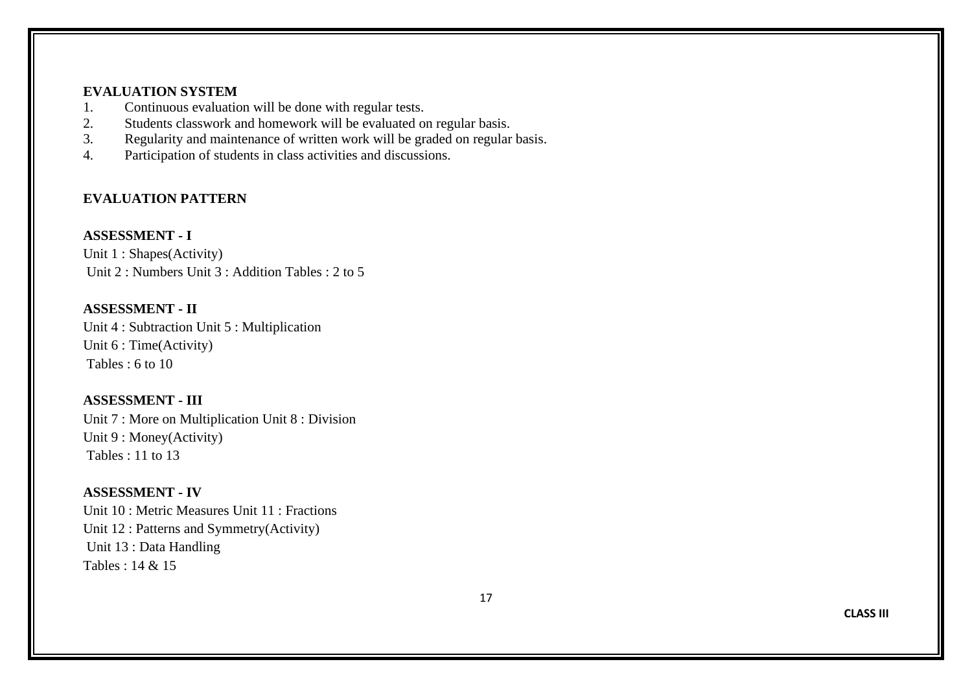#### **EVALUATION SYSTEM**

- 1. Continuous evaluation will be done with regular tests.<br>2. Students classwork and homework will be evaluated of
- 2. Students classwork and homework will be evaluated on regular basis.<br>3. Regularity and maintenance of written work will be graded on regular
- Regularity and maintenance of written work will be graded on regular basis.
- 4. Participation of students in class activities and discussions.

#### **EVALUATION PATTERN**

#### **ASSESSMENT - I**

Unit 1 : Shapes(Activity) Unit 2 : Numbers Unit 3 : Addition Tables : 2 to 5

#### **ASSESSMENT - II**

Unit 4 : Subtraction Unit 5 : Multiplication Unit 6 : Time(Activity) Tables  $\cdot$  6 to 10

#### **ASSESSMENT - III**

Unit 7 : More on Multiplication Unit 8 : Division Unit 9 : Money(Activity) Tables : 11 to 13

#### **ASSESSMENT - IV**

Unit 10 : Metric Measures Unit 11 : Fractions Unit 12 : Patterns and Symmetry(Activity) Unit 13 : Data Handling Tables  $\cdot$  14 & 15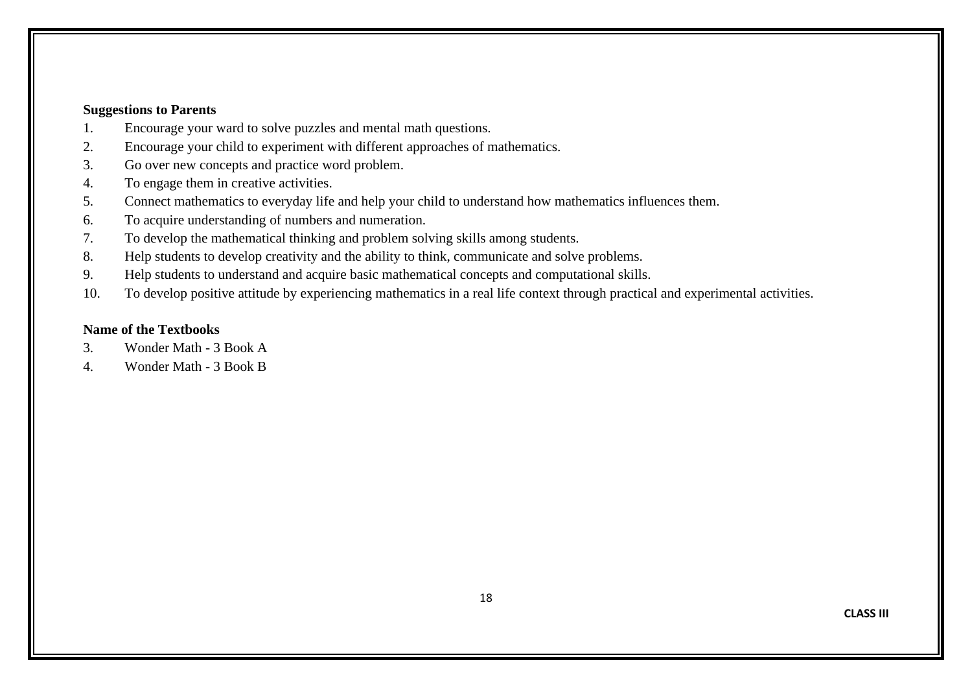#### **Suggestions to Parents**

- 1. Encourage your ward to solve puzzles and mental math questions.
- 2. Encourage your child to experiment with different approaches of mathematics.
- 3. Go over new concepts and practice word problem.
- 4. To engage them in creative activities.
- 5. Connect mathematics to everyday life and help your child to understand how mathematics influences them.
- 6. To acquire understanding of numbers and numeration.
- 7. To develop the mathematical thinking and problem solving skills among students.
- 8. Help students to develop creativity and the ability to think, communicate and solve problems.
- 9. Help students to understand and acquire basic mathematical concepts and computational skills.
- 10. To develop positive attitude by experiencing mathematics in a real life context through practical and experimental activities.

#### **Name of the Textbooks**

- 3. Wonder Math 3 Book A
- 4. Wonder Math 3 Book B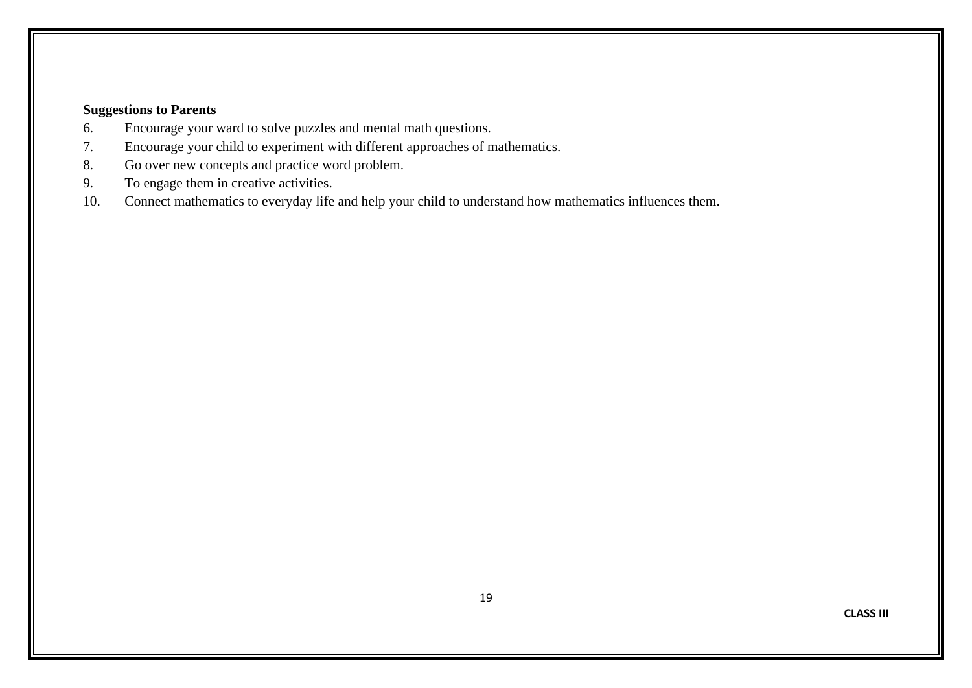- 6. Encourage your ward to solve puzzles and mental math questions.
- 7. Encourage your child to experiment with different approaches of mathematics.
- 8. Go over new concepts and practice word problem.
- 9. To engage them in creative activities.
- 10. Connect mathematics to everyday life and help your child to understand how mathematics influences them.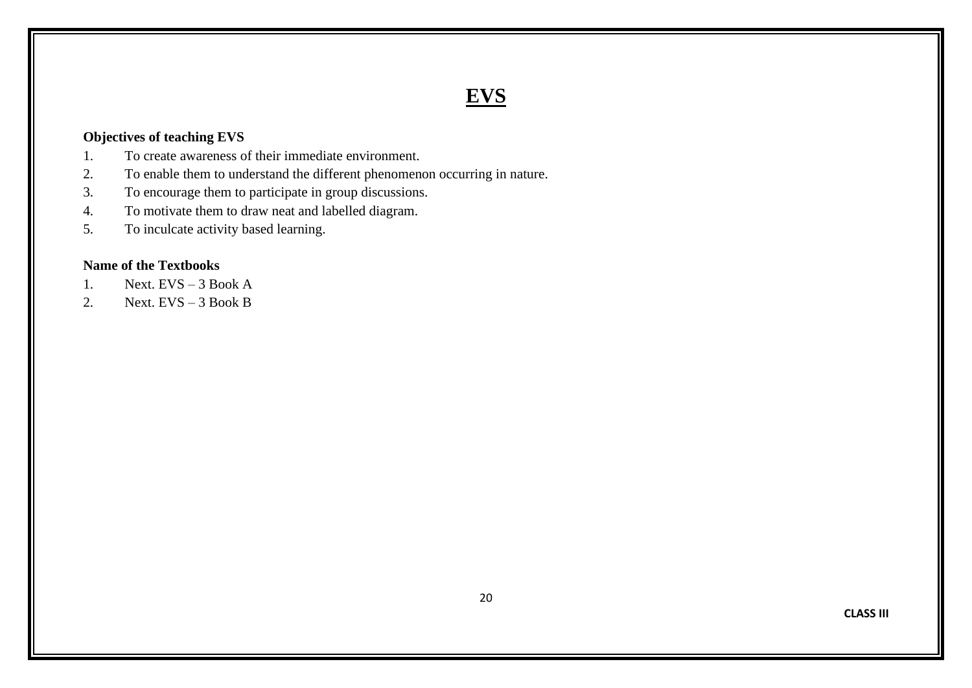# **EVS**

#### **Objectives of teaching EVS**

- 1. To create awareness of their immediate environment.
- 2. To enable them to understand the different phenomenon occurring in nature.
- 3. To encourage them to participate in group discussions.
- 4. To motivate them to draw neat and labelled diagram.
- 5. To inculcate activity based learning.

#### **Name of the Textbooks**

- 1. Next.  $EVS 3$  Book A
- 2. Next.  $EVS 3$  Book B

**CLASS III**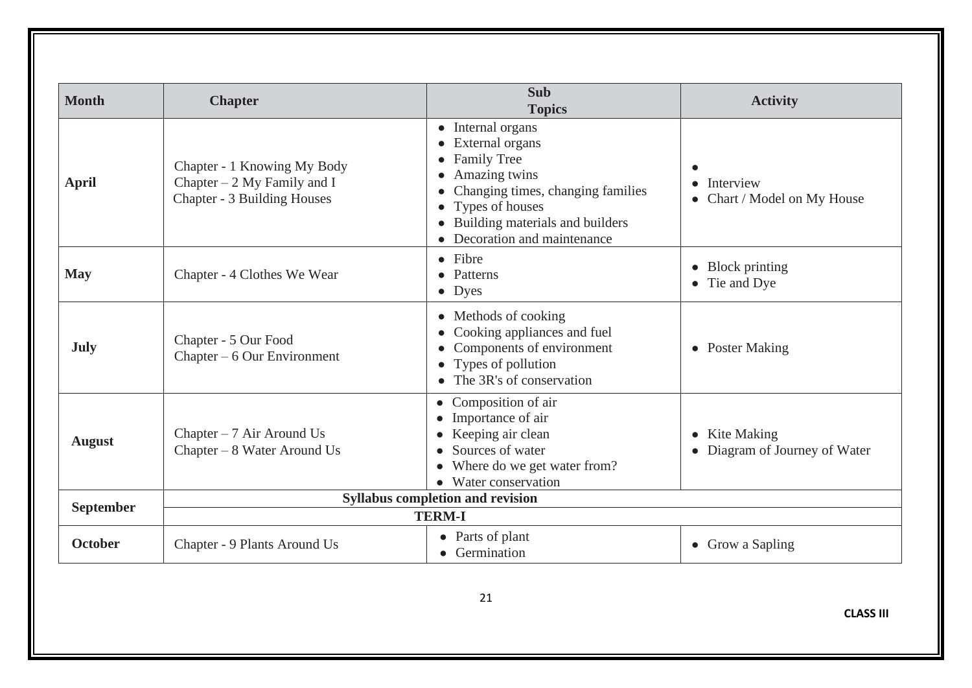| <b>Month</b>     | <b>Chapter</b>                                                                                    | <b>Sub</b><br><b>Topics</b>                                                                                                                                                                             | <b>Activity</b>                                |
|------------------|---------------------------------------------------------------------------------------------------|---------------------------------------------------------------------------------------------------------------------------------------------------------------------------------------------------------|------------------------------------------------|
| <b>April</b>     | Chapter - 1 Knowing My Body<br>Chapter $-2$ My Family and I<br><b>Chapter - 3 Building Houses</b> | • Internal organs<br>• External organs<br>• Family Tree<br>Amazing twins<br>Changing times, changing families<br>• Types of houses<br>• Building materials and builders<br>• Decoration and maintenance | Interview<br>• Chart / Model on My House       |
| <b>May</b>       | Chapter - 4 Clothes We Wear                                                                       | • Fibre<br>• Patterns<br>$\bullet$ Dyes                                                                                                                                                                 | $\bullet$ Block printing<br>• Tie and Dye      |
| <b>July</b>      | Chapter - 5 Our Food<br>Chapter $-6$ Our Environment                                              | • Methods of cooking<br>• Cooking appliances and fuel<br>Components of environment<br>• Types of pollution<br>$\bullet$ The 3R's of conservation                                                        | • Poster Making                                |
| <b>August</b>    | Chapter $-7$ Air Around Us<br>Chapter – 8 Water Around Us                                         | • Composition of air<br>Importance of air<br>Keeping air clean<br>• Sources of water<br>Where do we get water from?<br>$\bullet$<br>Water conservation                                                  | • Kite Making<br>• Diagram of Journey of Water |
| <b>September</b> |                                                                                                   | <b>Syllabus completion and revision</b>                                                                                                                                                                 |                                                |
|                  |                                                                                                   | <b>TERM-I</b>                                                                                                                                                                                           |                                                |
| October          | Chapter - 9 Plants Around Us                                                                      | • Parts of plant<br>• Germination                                                                                                                                                                       | • Grow a Sapling                               |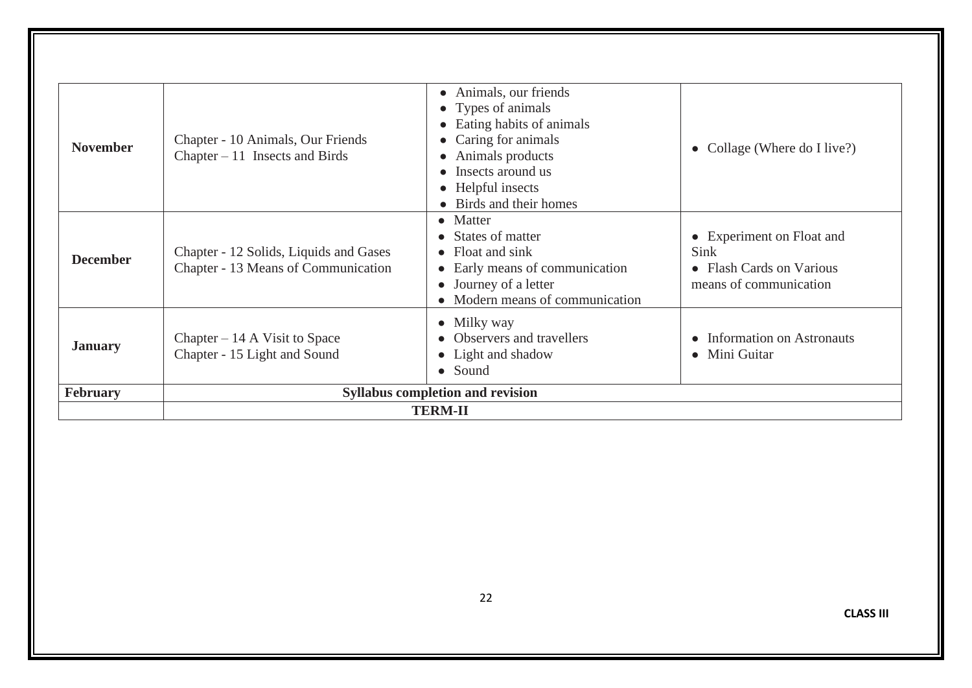| <b>November</b> | Chapter - 10 Animals, Our Friends<br>Chapter $-11$ Insects and Birds          | • Animals, our friends<br>• Types of animals<br>• Eating habits of animals<br>• Caring for animals<br>• Animals products<br>• Insects around us<br>• Helpful insects<br>• Birds and their homes | • Collage (Where do I live?)                                                            |
|-----------------|-------------------------------------------------------------------------------|-------------------------------------------------------------------------------------------------------------------------------------------------------------------------------------------------|-----------------------------------------------------------------------------------------|
| <b>December</b> | Chapter - 12 Solids, Liquids and Gases<br>Chapter - 13 Means of Communication | $\bullet$ Matter<br>• States of matter<br>$\bullet$ Float and sink<br>• Early means of communication<br>• Journey of a letter<br>• Modern means of communication                                | • Experiment on Float and<br>Sink<br>• Flash Cards on Various<br>means of communication |
| <b>January</b>  | Chapter $-14$ A Visit to Space<br>Chapter - 15 Light and Sound                | $\bullet$ Milky way<br><b>Observers and travellers</b><br>• Light and shadow<br>• Sound                                                                                                         | • Information on Astronauts<br>• Mini Guitar                                            |
| February        |                                                                               | <b>Syllabus completion and revision</b>                                                                                                                                                         |                                                                                         |
|                 |                                                                               | <b>TERM-II</b>                                                                                                                                                                                  |                                                                                         |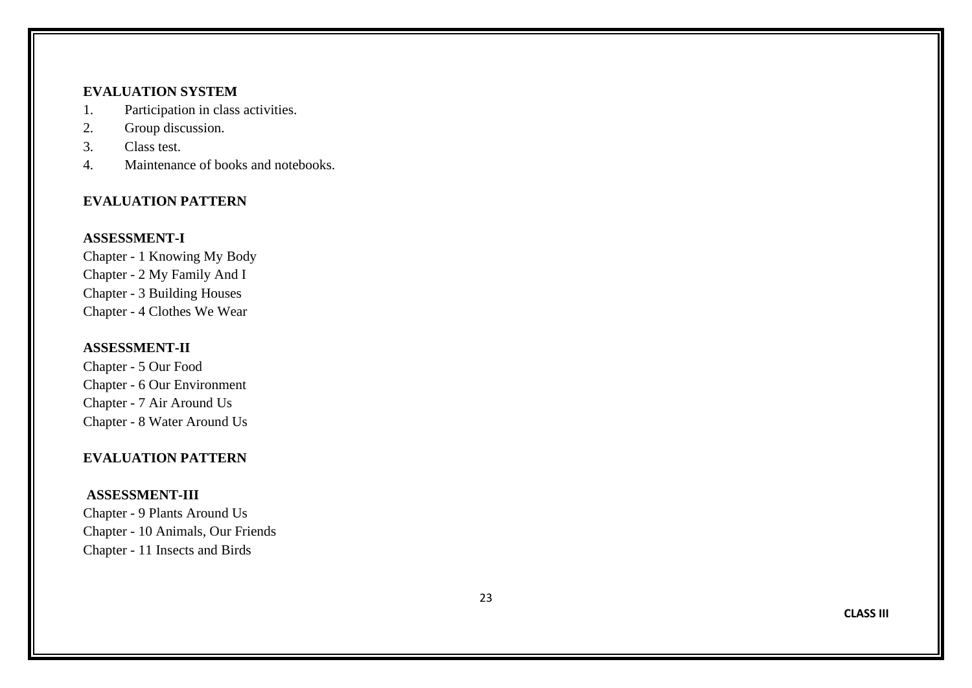#### **EVALUATION SYSTEM**

- 1. Participation in class activities.
- 2. Group discussion.
- 3. Class test.
- 4. Maintenance of books and notebooks.

#### **EVALUATION PATTERN**

#### **ASSESSMENT - I**

Chapter - 1 Knowing My Body Chapter - 2 My Family And I Chapter - 3 Building Houses Chapter - 4 Clothes We Wear

#### **ASSESSMENT -II**

Chapter - 5 Our Food Chapter - 6 Our Environment Chapter - 7 Air Around Us Chapter - 8 Water Around Us

#### **EVALUATION PATTERN**

#### **ASSESSMENT -III**

Chapter - 9 Plants Around Us Chapter - 10 Animals, Our Friends Chapter - 11 Insects and Birds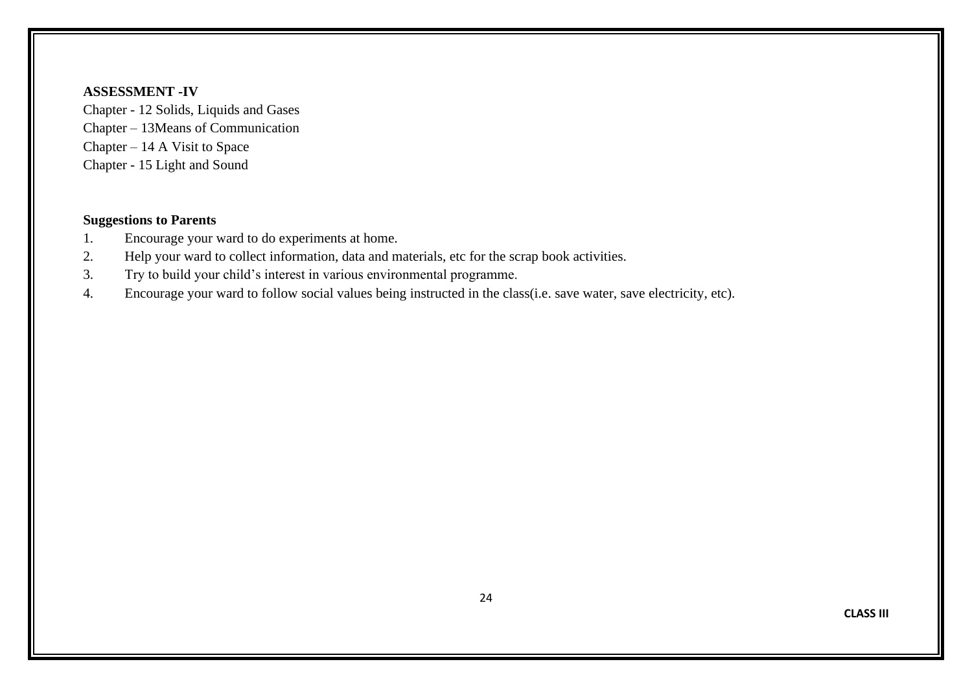#### **ASSESSMENT -IV**

Chapter - 12 Solids, Liquids and Gases Chapter – 13Means of Communication Chapter – 14 A Visit to Space Chapter - 15 Light and Sound

- 1. Encourage your ward to do experiments at home.
- 2. Help your ward to collect information, data and materials, etc for the scrap book activities.
- 3. Try to build your child's interest in various environmental programme.
- 4. Encourage your ward to follow social values being instructed in the class(i.e. save water, save electricity, etc).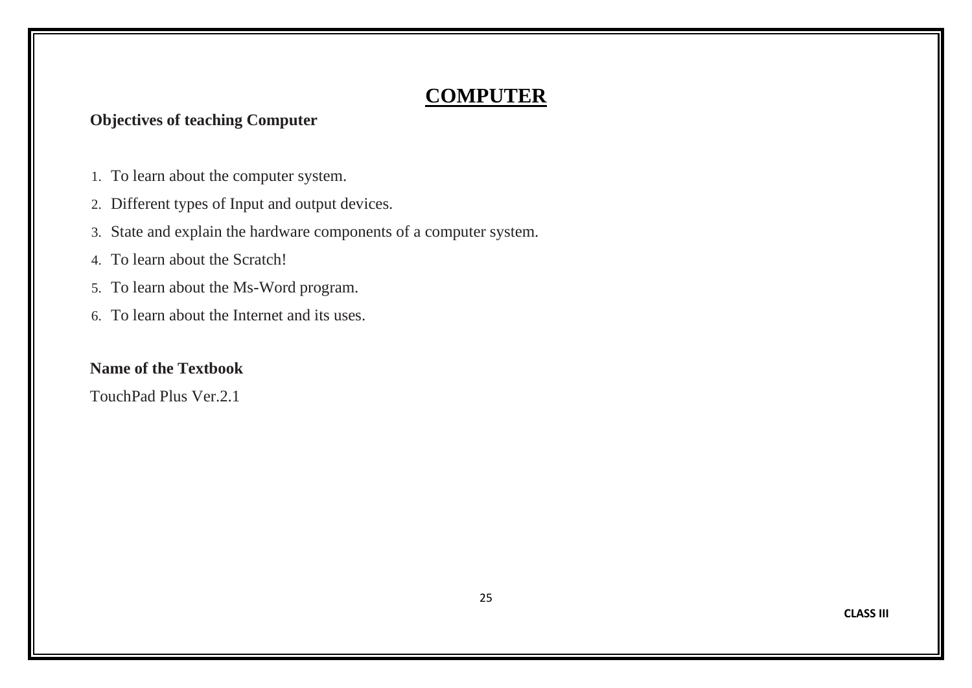# **COMPUTER**

## **Objectives of teaching Computer**

- 1. To learn about the computer system.
- 2. Different types of Input and output devices.
- 3. State and explain the hardware components of a computer system.
- 4. To learn about the Scratch!
- 5. To learn about the Ms-Word program.
- 6. To learn about the Internet and its uses.

#### **Name of the Textbook**

TouchPad Plus Ver.2.1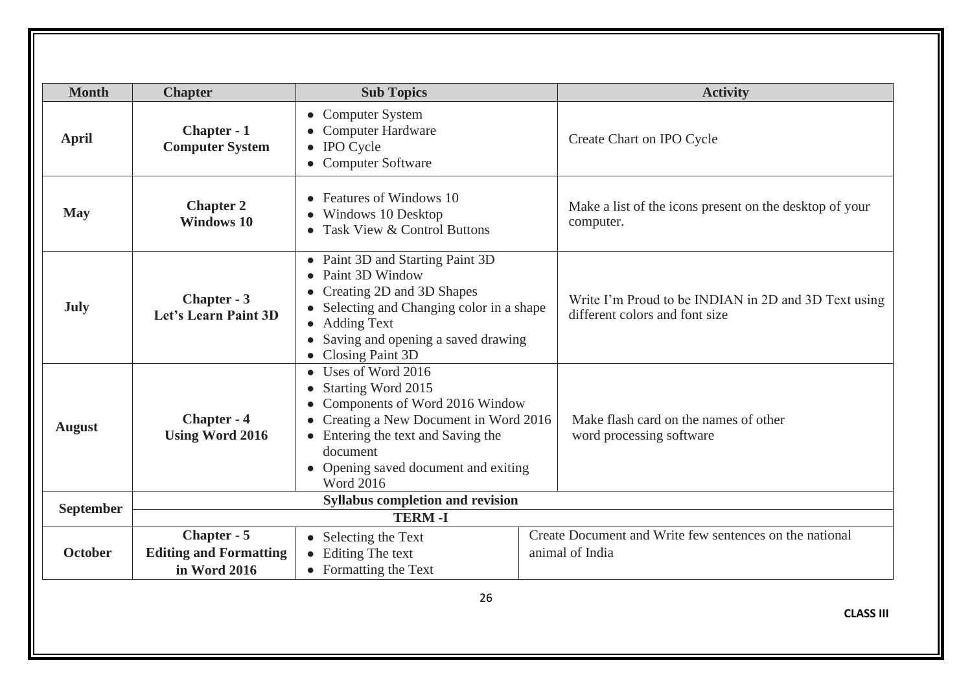| <b>Month</b>   | <b>Chapter</b>                               | <b>Sub Topics</b>                                                                                                                                                                                                                          | <b>Activity</b>                                                                        |
|----------------|----------------------------------------------|--------------------------------------------------------------------------------------------------------------------------------------------------------------------------------------------------------------------------------------------|----------------------------------------------------------------------------------------|
| <b>April</b>   | Chapter - 1<br><b>Computer System</b>        | <b>Computer System</b><br>$\bullet$<br>Computer Hardware<br>• IPO Cycle<br>• Computer Software                                                                                                                                             | Create Chart on IPO Cycle                                                              |
| <b>May</b>     | <b>Chapter 2</b><br><b>Windows 10</b>        | Features of Windows 10<br>Windows 10 Desktop<br>• Task View & Control Buttons                                                                                                                                                              | Make a list of the icons present on the desktop of your<br>computer.                   |
| <b>July</b>    | Chapter - 3<br>Let's Learn Paint 3D          | • Paint 3D and Starting Paint 3D<br>Paint 3D Window<br>$\bullet$<br>Creating 2D and 3D Shapes<br>Selecting and Changing color in a shape<br><b>Adding Text</b><br>Saving and opening a saved drawing<br>Closing Paint 3D                   | Write I'm Proud to be INDIAN in 2D and 3D Text using<br>different colors and font size |
| <b>August</b>  | Chapter - 4<br><b>Using Word 2016</b>        | Uses of Word 2016<br>$\bullet$<br>Starting Word 2015<br>Components of Word 2016 Window<br>Creating a New Document in Word 2016<br>• Entering the text and Saving the<br>document<br>Opening saved document and exiting<br><b>Word 2016</b> | Make flash card on the names of other<br>word processing software                      |
| September      |                                              | <b>Syllabus completion and revision</b>                                                                                                                                                                                                    |                                                                                        |
|                |                                              | <b>TERM-I</b>                                                                                                                                                                                                                              | Create Document and Write few sentences on the national                                |
| <b>October</b> | Chapter - 5<br><b>Editing and Formatting</b> | • Selecting the Text<br>Editing The text                                                                                                                                                                                                   | animal of India                                                                        |
|                | in Word 2016                                 | $\bullet$<br>• Formatting the Text                                                                                                                                                                                                         |                                                                                        |
|                |                                              | 26                                                                                                                                                                                                                                         | <b>CLASS III</b>                                                                       |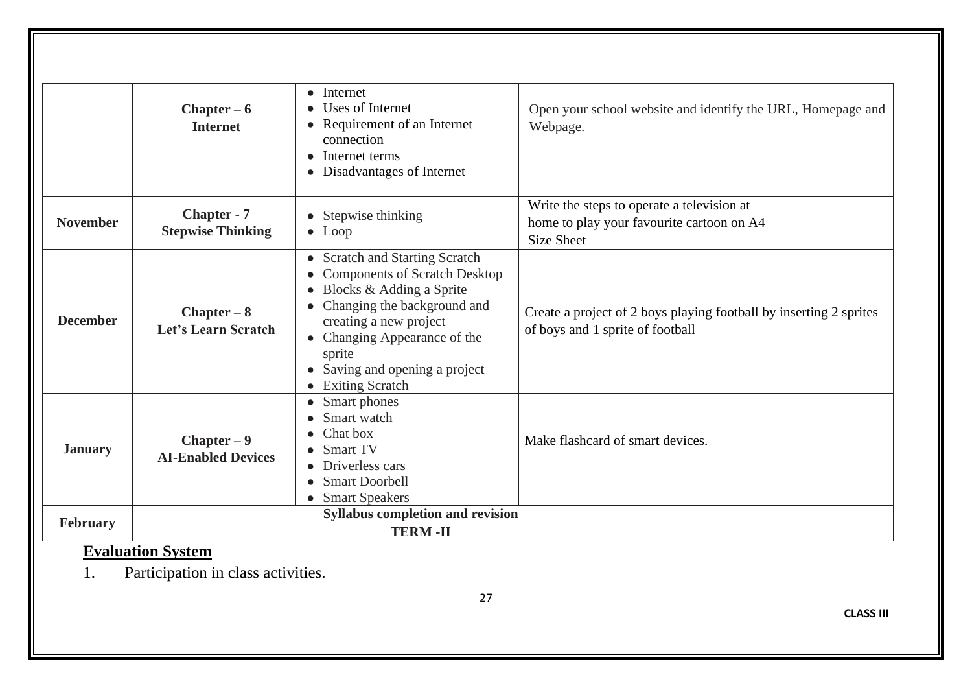|                 | $Chapter - 6$<br><b>Internet</b>               | $\bullet$ Internet<br>Uses of Internet<br>Requirement of an Internet<br>connection<br>Internet terms<br>Disadvantages of Internet                                                                                                                                                                         | Open your school website and identify the URL, Homepage and<br>Webpage.                                      |  |
|-----------------|------------------------------------------------|-----------------------------------------------------------------------------------------------------------------------------------------------------------------------------------------------------------------------------------------------------------------------------------------------------------|--------------------------------------------------------------------------------------------------------------|--|
| <b>November</b> | <b>Chapter - 7</b><br><b>Stepwise Thinking</b> | • Stepwise thinking<br>$\bullet$ Loop                                                                                                                                                                                                                                                                     | Write the steps to operate a television at<br>home to play your favourite cartoon on A4<br><b>Size Sheet</b> |  |
| <b>December</b> | $Chapter - 8$<br>Let's Learn Scratch           | <b>Scratch and Starting Scratch</b><br>$\bullet$<br><b>Components of Scratch Desktop</b><br>Blocks & Adding a Sprite<br>$\bullet$<br>Changing the background and<br>creating a new project<br>Changing Appearance of the<br>sprite<br>Saving and opening a project<br><b>Exiting Scratch</b><br>$\bullet$ | Create a project of 2 boys playing football by inserting 2 sprites<br>of boys and 1 sprite of football       |  |
| <b>January</b>  | $Chapter - 9$<br><b>AI-Enabled Devices</b>     | Smart phones<br>$\bullet$<br>Smart watch<br>Chat box<br>Smart TV<br>Driverless cars<br><b>Smart Doorbell</b><br><b>Smart Speakers</b>                                                                                                                                                                     | Make flashcard of smart devices.                                                                             |  |
| <b>February</b> |                                                | <b>Syllabus completion and revision</b>                                                                                                                                                                                                                                                                   |                                                                                                              |  |
|                 | <b>TERM-II</b>                                 |                                                                                                                                                                                                                                                                                                           |                                                                                                              |  |

# **Evaluation System**

1. Participation in class activities.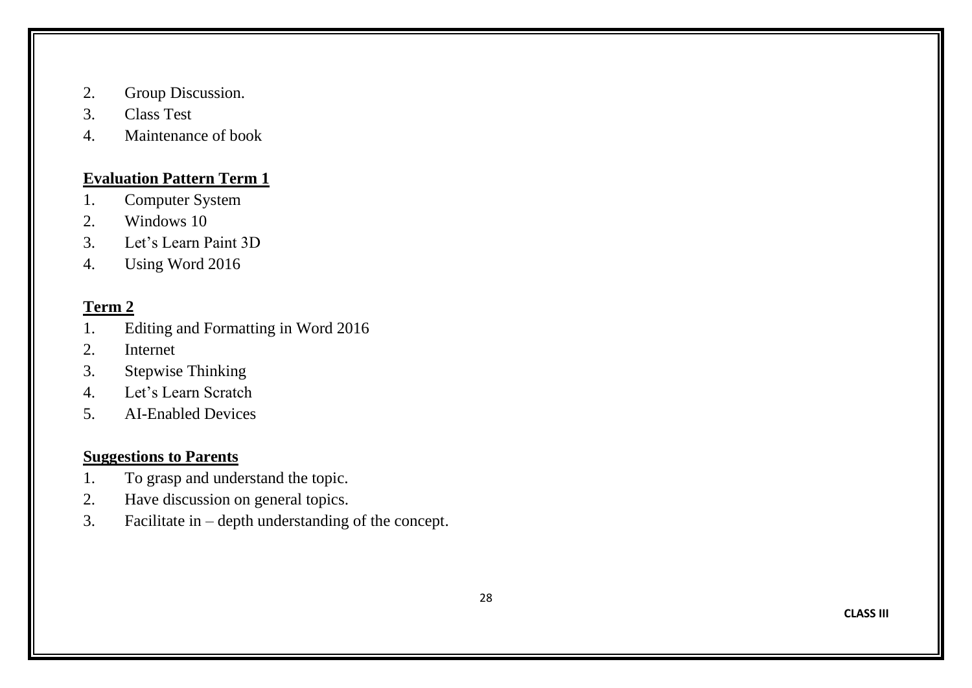- 2. Group Discussion.
- 3. Class Test
- 4. Maintenance of book

#### **Evaluation Pattern Term 1**

- 1. Computer System
- 2. Windows 10
- 3. Let's Learn Paint 3D
- 4. Using Word 2016

# **Term 2**

- 1. Editing and Formatting in Word 2016
- 2. Internet
- 3. Stepwise Thinking
- 4. Let's Learn Scratch
- 5. AI-Enabled Devices

- 1. To grasp and understand the topic.
- 2. Have discussion on general topics.
- 3. Facilitate in depth understanding of the concept.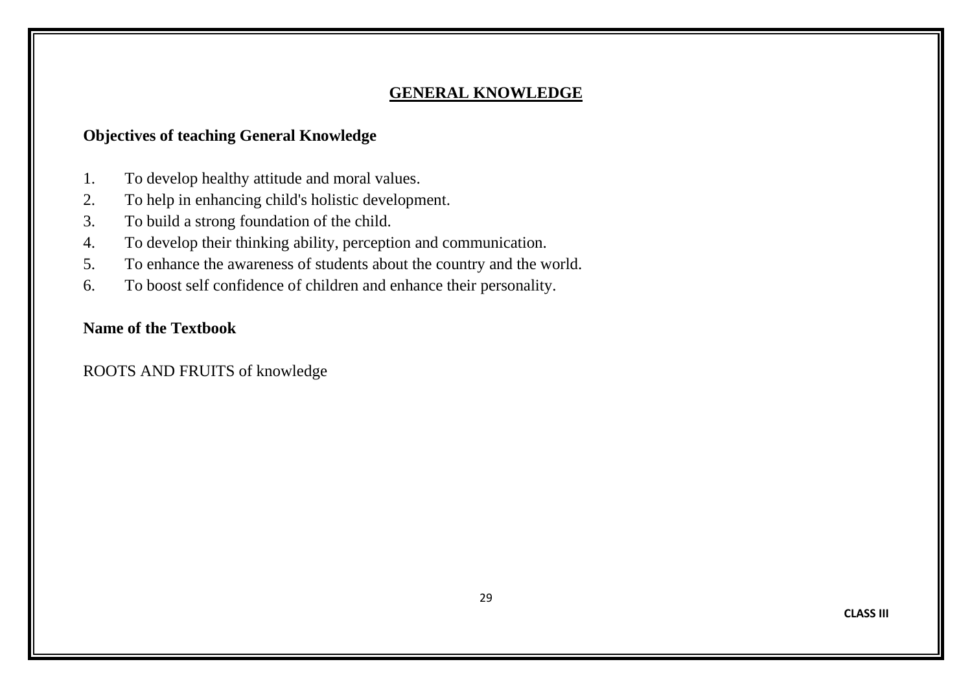#### **GENERAL KNOWLEDGE**

## **Objectives of teaching General Knowledge**

- 1. To develop healthy attitude and moral values.
- 2. To help in enhancing child's holistic development.
- 3. To build a strong foundation of the child.
- 4. To develop their thinking ability, perception and communication.
- 5. To enhance the awareness of students about the country and the world.
- 6. To boost self confidence of children and enhance their personality.

#### **Name of the Textbook**

ROOTS AND FRUITS of knowledge

**CLASS III**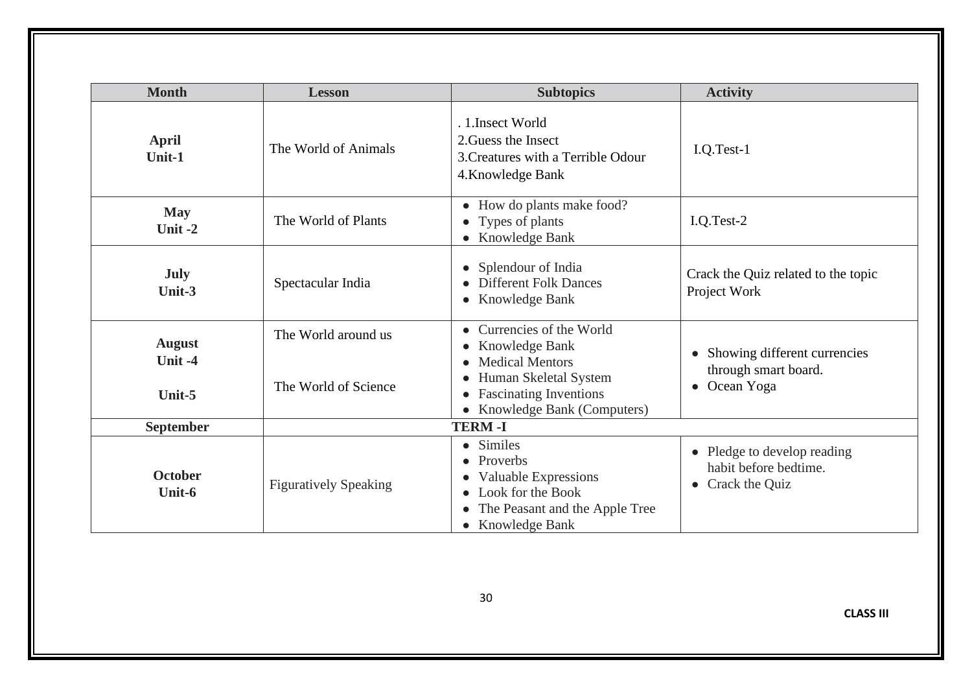| <b>Month</b>                         | <b>Lesson</b>                               | <b>Subtopics</b>                                                                                                                                           | <b>Activity</b>                                                                 |
|--------------------------------------|---------------------------------------------|------------------------------------------------------------------------------------------------------------------------------------------------------------|---------------------------------------------------------------------------------|
| <b>April</b><br>Unit-1               | The World of Animals                        | . 1. Insect World<br>2. Guess the Insect<br>3. Creatures with a Terrible Odour<br>4. Knowledge Bank                                                        | $I.Q.Test-1$                                                                    |
| <b>May</b><br>Unit-2                 | The World of Plants                         | • How do plants make food?<br>• Types of plants<br>• Knowledge Bank                                                                                        | I.Q.Test-2                                                                      |
| <b>July</b><br>Unit-3                | Spectacular India                           | • Splendour of India<br><b>Different Folk Dances</b><br>• Knowledge Bank                                                                                   | Crack the Quiz related to the topic<br>Project Work                             |
| <b>August</b><br>Unit $-4$<br>Unit-5 | The World around us<br>The World of Science | Currencies of the World<br>• Knowledge Bank<br>• Medical Mentors<br>Human Skeletal System<br><b>Fascinating Inventions</b><br>• Knowledge Bank (Computers) | Showing different currencies<br>through smart board.<br>Ocean Yoga<br>$\bullet$ |
| September                            |                                             | <b>TERM-I</b>                                                                                                                                              |                                                                                 |
| <b>October</b><br>Unit-6             | <b>Figuratively Speaking</b>                | • Similes<br>• Proverbs<br><b>Valuable Expressions</b><br>$\bullet$<br>• Look for the Book<br>The Peasant and the Apple Tree<br>• Knowledge Bank           | • Pledge to develop reading<br>habit before bedtime.<br>• Crack the Quiz        |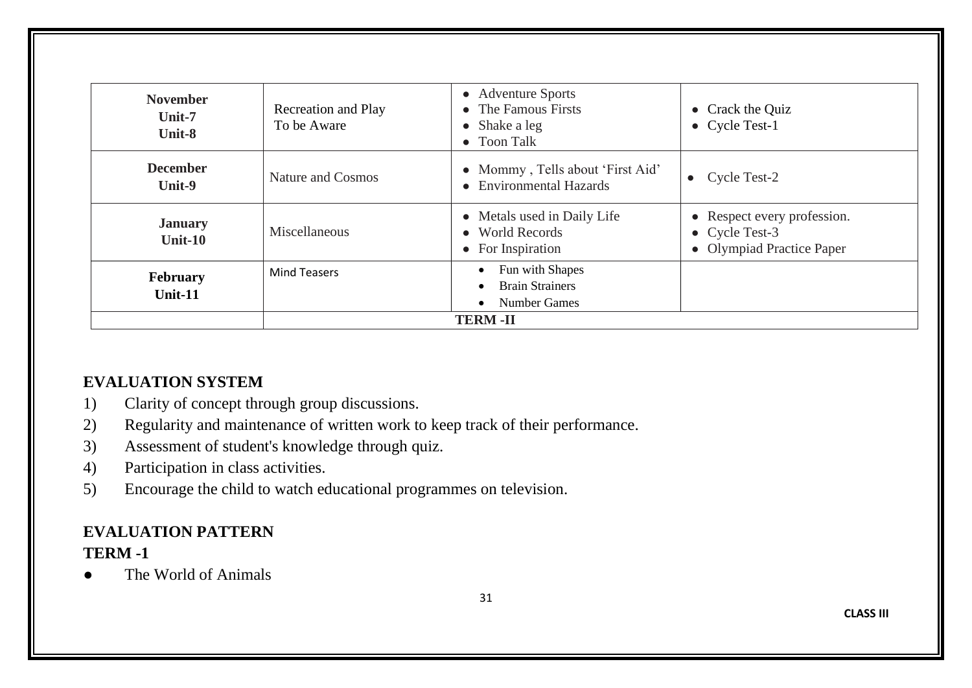| <b>November</b><br>Unit-7<br>Unit-8 | Recreation and Play<br>To be Aware | • Adventure Sports<br>• The Famous Firsts<br>$\bullet$ Shake a leg<br>• Toon Talk                       | • Crack the Quiz<br>• Cycle Test-1                                                 |  |  |
|-------------------------------------|------------------------------------|---------------------------------------------------------------------------------------------------------|------------------------------------------------------------------------------------|--|--|
| <b>December</b><br>Unit-9           | Nature and Cosmos                  | • Mommy, Tells about 'First Aid'<br>• Environmental Hazards                                             | Cycle Test-2                                                                       |  |  |
| <b>January</b><br>Unit- $10$        | Miscellaneous                      | • Metals used in Daily Life<br>• World Records<br>$\bullet$ For Inspiration                             | • Respect every profession.<br>$\bullet$ Cycle Test-3<br>• Olympiad Practice Paper |  |  |
| February<br>Unit- $11$              | <b>Mind Teasers</b>                | Fun with Shapes<br>$\bullet$<br><b>Brain Strainers</b><br>$\bullet$<br><b>Number Games</b><br>$\bullet$ |                                                                                    |  |  |
|                                     | <b>TERM-II</b>                     |                                                                                                         |                                                                                    |  |  |

# **EVALUATION SYSTEM**

- 1) Clarity of concept through group discussions.
- 2) Regularity and maintenance of written work to keep track of their performance.
- 3) Assessment of student's knowledge through quiz.
- 4) Participation in class activities.
- 5) Encourage the child to watch educational programmes on television.

# **EVALUATION PATTERN TERM -1**

The World of Animals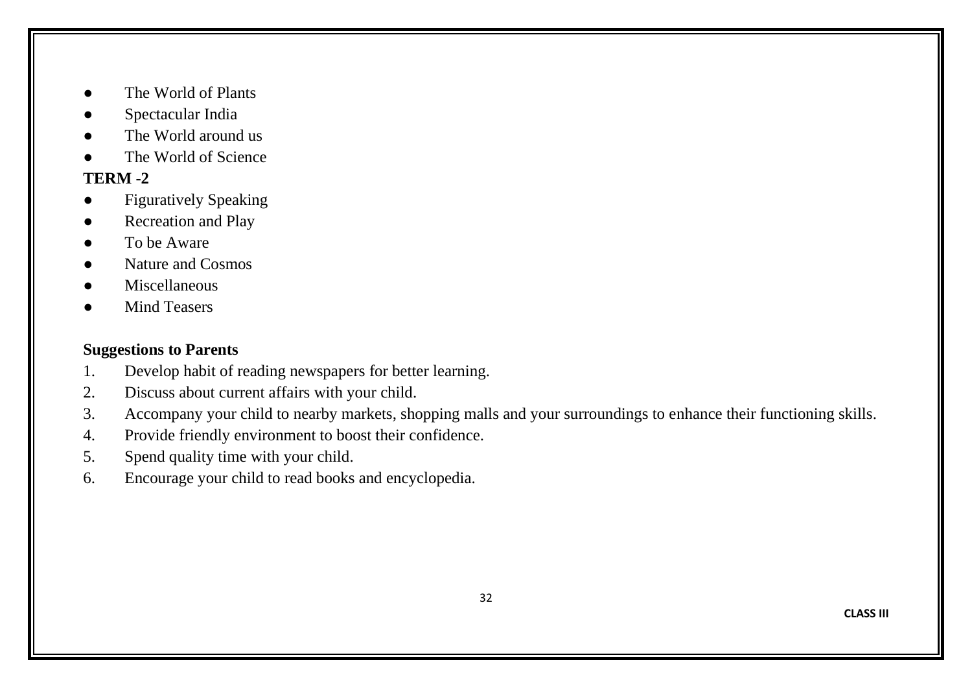- The World of Plants
- Spectacular India
- The World around us
- The World of Science

# **TERM -2**

- Figuratively Speaking
- **Recreation and Play**
- To be Aware
- Nature and Cosmos
- Miscellaneous
- **Mind Teasers**

- 1. Develop habit of reading newspapers for better learning.
- 2. Discuss about current affairs with your child.
- 3. Accompany your child to nearby markets, shopping malls and your surroundings to enhance their functioning skills.
- 4. Provide friendly environment to boost their confidence.
- 5. Spend quality time with your child.
- 6. Encourage your child to read books and encyclopedia.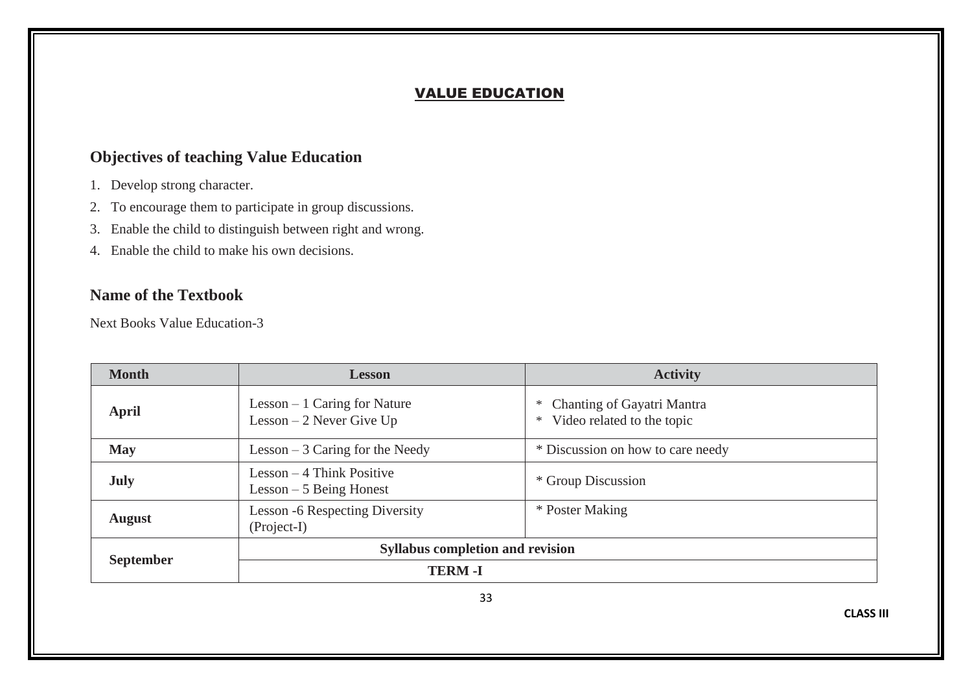#### VALUE EDUCATION

## **Objectives of teaching Value Education**

- 1. Develop strong character.
- 2. To encourage them to participate in group discussions.
- 3. Enable the child to distinguish between right and wrong.
- 4. Enable the child to make his own decisions.

#### **Name of the Textbook**

Next Books Value Education-3

| <b>Month</b>     | <b>Lesson</b>                                              | <b>Activity</b>                                                    |  |  |  |
|------------------|------------------------------------------------------------|--------------------------------------------------------------------|--|--|--|
| April            | Lesson $-1$ Caring for Nature<br>Lesson $-2$ Never Give Up | Chanting of Gayatri Mantra<br>∗<br>Video related to the topic<br>∗ |  |  |  |
| <b>May</b>       | Lesson $-3$ Caring for the Needy                           | * Discussion on how to care needy                                  |  |  |  |
| <b>July</b>      | $Lesson - 4 Think Positive$<br>$Lesson - 5 Being Honest$   | * Group Discussion                                                 |  |  |  |
| <b>August</b>    | <b>Lesson -6 Respecting Diversity</b><br>(Project-I)       | * Poster Making                                                    |  |  |  |
|                  | <b>Syllabus completion and revision</b>                    |                                                                    |  |  |  |
| <b>September</b> | <b>TERM-I</b>                                              |                                                                    |  |  |  |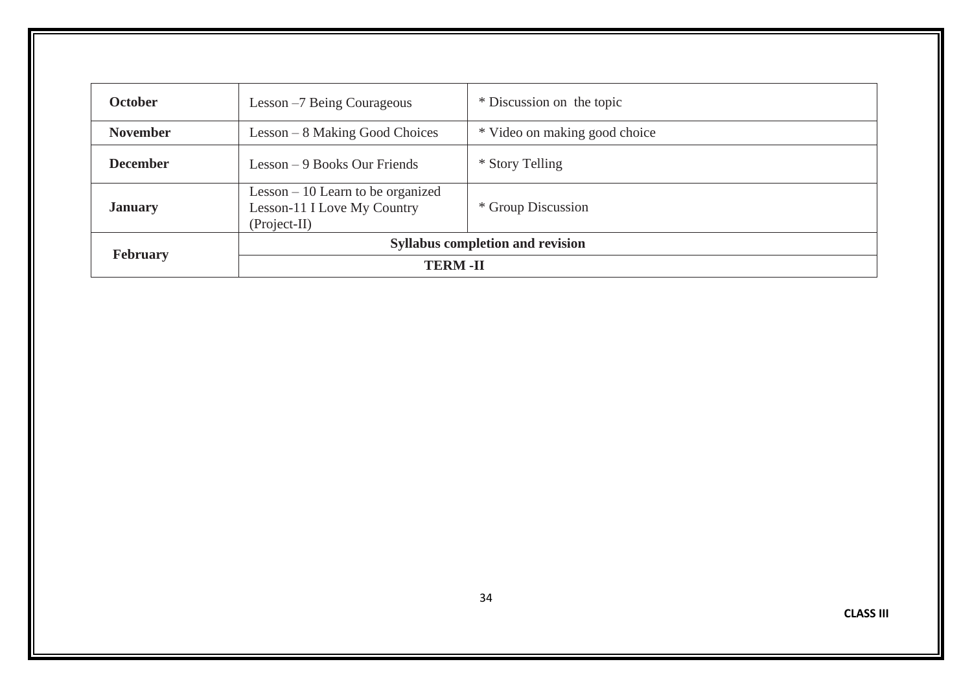| <b>October</b>  | Lesson -7 Being Courageous                                                          | * Discussion on the topic     |  |  |  |
|-----------------|-------------------------------------------------------------------------------------|-------------------------------|--|--|--|
| <b>November</b> | $Lesson - 8$ Making Good Choices                                                    | * Video on making good choice |  |  |  |
| <b>December</b> | Lesson $-9$ Books Our Friends                                                       | * Story Telling               |  |  |  |
| <b>January</b>  | Lesson $-10$ Learn to be organized<br>Lesson-11 I Love My Country<br>$(Project-II)$ | * Group Discussion            |  |  |  |
| <b>February</b> | <b>Syllabus completion and revision</b>                                             |                               |  |  |  |
|                 | <b>TERM-II</b>                                                                      |                               |  |  |  |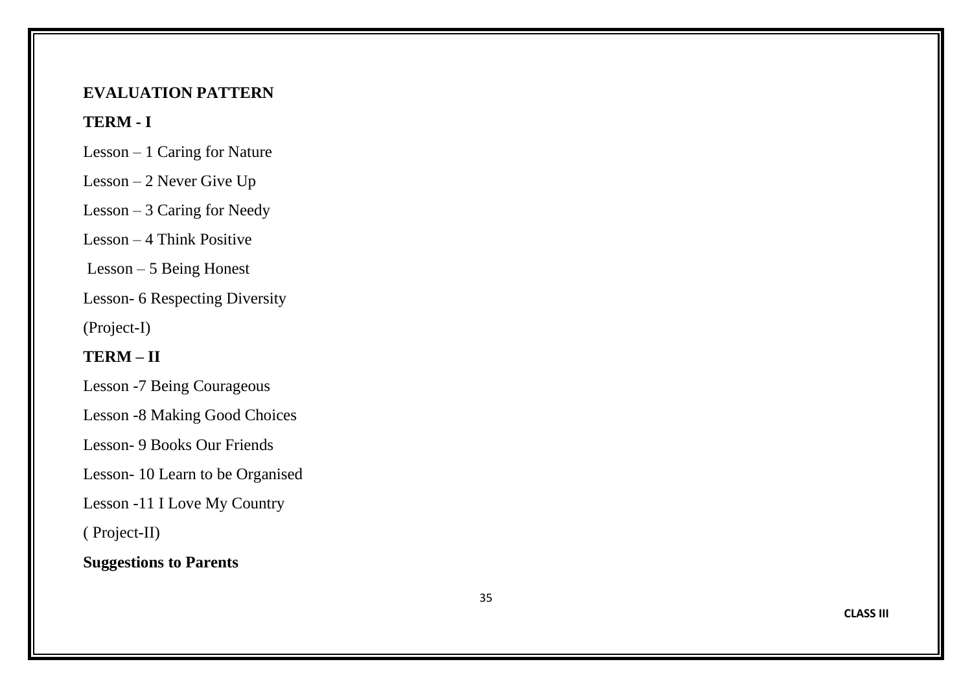#### **EVALUATION PATTERN**

## **TERM - I**

- Lesson 1 Caring for Nature
- Lesson 2 Never Give Up
- Lesson 3 Caring for Needy
- Lesson 4 Think Positive
- Lesson 5 Being Honest
- Lesson 6 Respecting Diversity
- (Project -I)

# **TERM – II**

- Lesson -7 Being Courageous
- Lesson -8 Making Good Choices
- Lesson 9 Books Our Friends
- Lesson 10 Learn to be Organised
- Lesson -11 I Love My Country
- ( Project -II)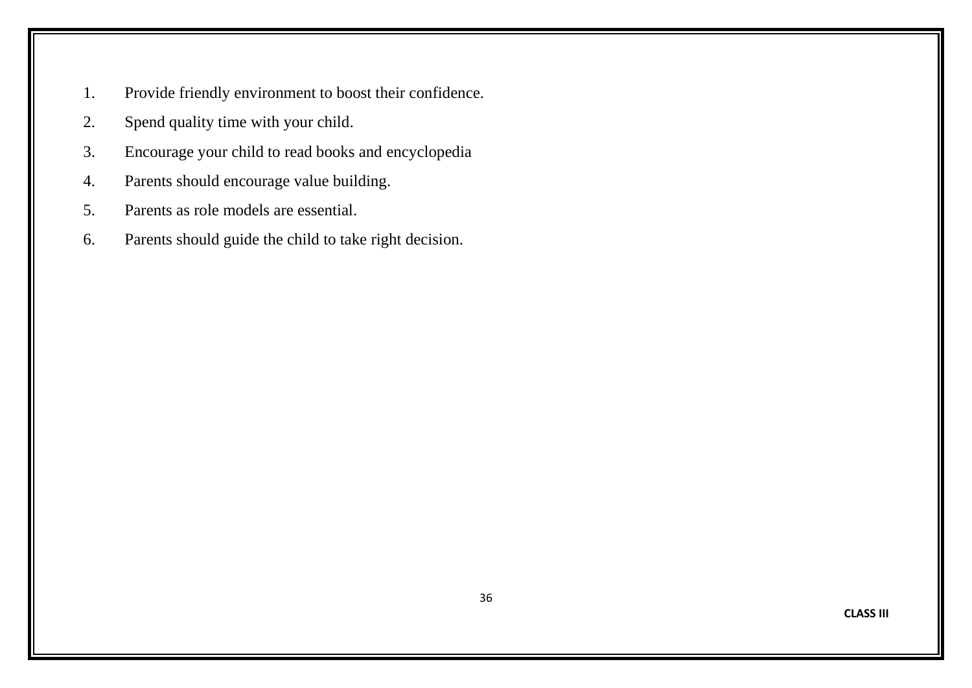- 1. Provide friendly environment to boost their confidence.
- 2. Spend quality time with your child.
- 3. Encourage your child to read books and encyclopedia
- 4. Parents should encourage value building.
- 5. Parents as role models are essential.
- 6. Parents should guide the child to take right decision.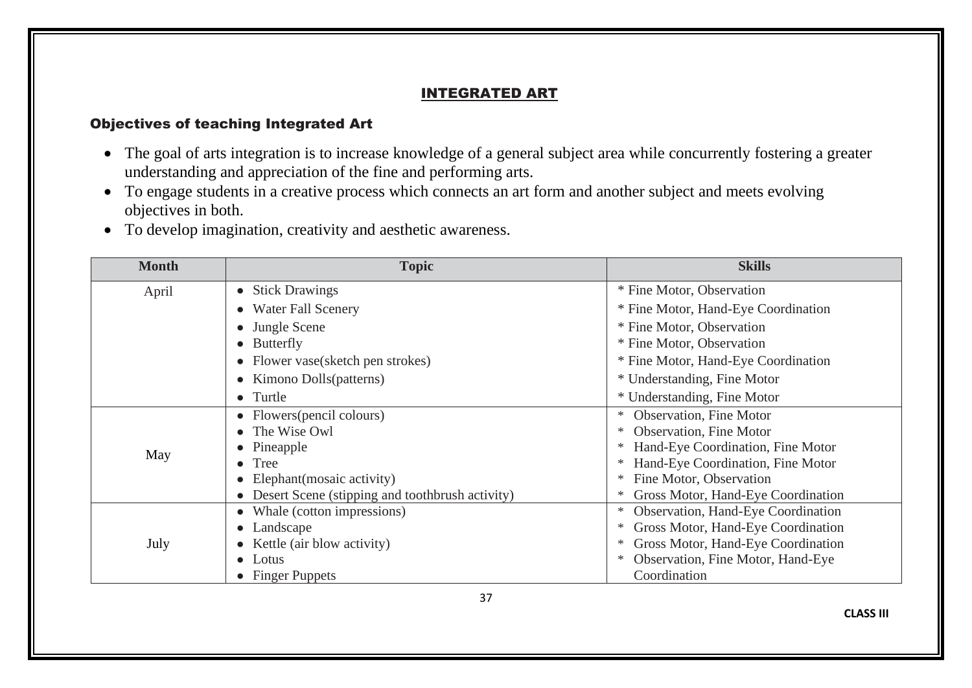#### INTEGRATED ART

#### Objectives of teaching Integrated Art

- The goal of arts integration is to increase knowledge of a general subject area while concurrently fostering a greater understanding and appreciation of the fine and performing arts.
- To engage students in a creative process which connects an art form and another subject and meets evolving objectives in both.
- To develop imagination, creativity and aesthetic awareness.

| <b>Month</b> | <b>Topic</b>                                      | <b>Skills</b>                           |
|--------------|---------------------------------------------------|-----------------------------------------|
| April        | • Stick Drawings                                  | * Fine Motor, Observation               |
|              | <b>Water Fall Scenery</b>                         | * Fine Motor, Hand-Eye Coordination     |
|              | • Jungle Scene                                    | * Fine Motor, Observation               |
|              | • Butterfly                                       | * Fine Motor, Observation               |
|              | • Flower vase(sketch pen strokes)                 | * Fine Motor, Hand-Eye Coordination     |
|              | • Kimono Dolls(patterns)                          | * Understanding, Fine Motor             |
|              | • Turtle                                          | * Understanding, Fine Motor             |
|              | • Flowers (pencil colours)                        | Observation, Fine Motor                 |
|              | • The Wise Owl                                    | <b>Observation</b> , Fine Motor         |
| May          | • Pineapple                                       | Hand-Eye Coordination, Fine Motor       |
|              | Tree                                              | Hand-Eye Coordination, Fine Motor       |
|              | Elephant (mosaic activity)                        | Fine Motor, Observation                 |
|              | • Desert Scene (stipping and toothbrush activity) | Gross Motor, Hand-Eye Coordination      |
|              | • Whale (cotton impressions)                      | Observation, Hand-Eye Coordination<br>∗ |
|              | • Landscape                                       | Gross Motor, Hand-Eye Coordination      |
| July         | Kettle (air blow activity)                        | Gross Motor, Hand-Eye Coordination      |
|              | $\bullet$ Lotus                                   | Observation, Fine Motor, Hand-Eye       |
|              | • Finger Puppets                                  | Coordination                            |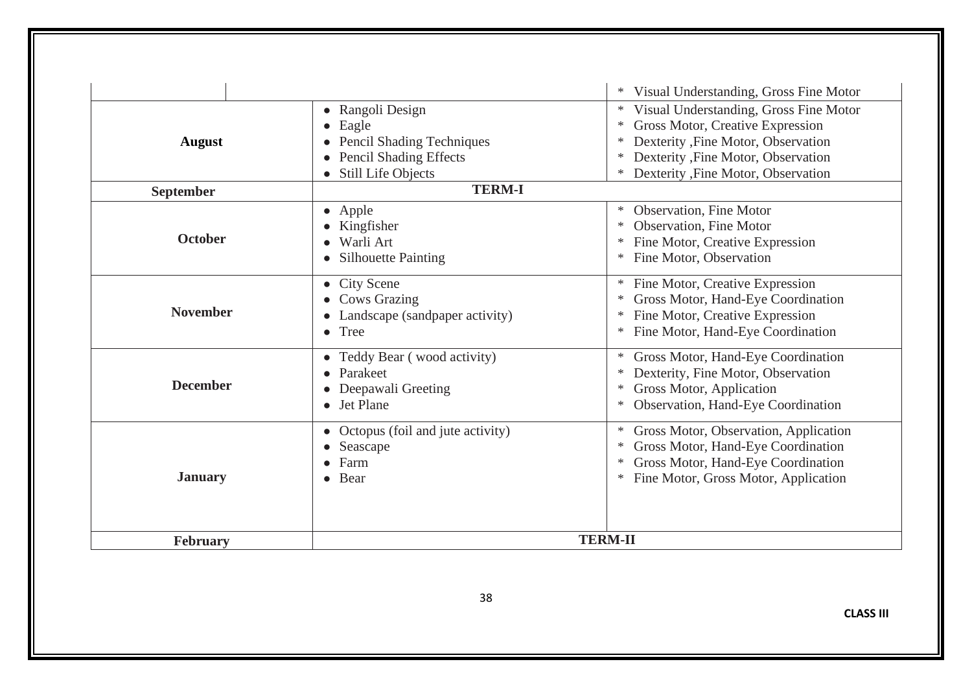|                                                                                                  |                                                                                                                        | Visual Understanding, Gross Fine Motor                                                                                                                                                                                   |  |
|--------------------------------------------------------------------------------------------------|------------------------------------------------------------------------------------------------------------------------|--------------------------------------------------------------------------------------------------------------------------------------------------------------------------------------------------------------------------|--|
| <b>August</b>                                                                                    | • Rangoli Design<br>• Eagle<br><b>Pencil Shading Techniques</b><br><b>Pencil Shading Effects</b><br>Still Life Objects | Visual Understanding, Gross Fine Motor<br>∗<br>Gross Motor, Creative Expression<br>$\ast$<br>Dexterity , Fine Motor, Observation<br>Dexterity , Fine Motor, Observation<br>∗<br>Dexterity , Fine Motor, Observation<br>∗ |  |
| <b>September</b>                                                                                 | <b>TERM-I</b>                                                                                                          |                                                                                                                                                                                                                          |  |
| <b>October</b>                                                                                   | • Apple<br>• Kingfisher<br>Warli Art<br>• Silhouette Painting                                                          | Observation, Fine Motor<br><b>Observation</b> , Fine Motor<br>∗<br>Fine Motor, Creative Expression<br>Fine Motor, Observation<br>∗                                                                                       |  |
| <b>November</b>                                                                                  | • City Scene<br><b>Cows Grazing</b><br>Landscape (sandpaper activity)<br>$\bullet$ Tree                                | Fine Motor, Creative Expression<br>∗<br>Gross Motor, Hand-Eye Coordination<br>∗<br>Fine Motor, Creative Expression<br>∗<br>Fine Motor, Hand-Eye Coordination<br>∗                                                        |  |
| • Teddy Bear (wood activity)<br>Parakeet<br><b>December</b><br>Deepawali Greeting<br>• Jet Plane |                                                                                                                        | Gross Motor, Hand-Eye Coordination<br>∗<br>Dexterity, Fine Motor, Observation<br>Gross Motor, Application<br>∗<br>Observation, Hand-Eye Coordination<br>∗                                                                |  |
| Octopus (foil and jute activity)<br>Seascape<br>Farm<br><b>January</b><br>• Bear                 |                                                                                                                        | Gross Motor, Observation, Application<br>∗<br>Gross Motor, Hand-Eye Coordination<br>∗<br>Gross Motor, Hand-Eye Coordination<br>∗<br>Fine Motor, Gross Motor, Application<br>∗                                            |  |
| February                                                                                         | <b>TERM-II</b>                                                                                                         |                                                                                                                                                                                                                          |  |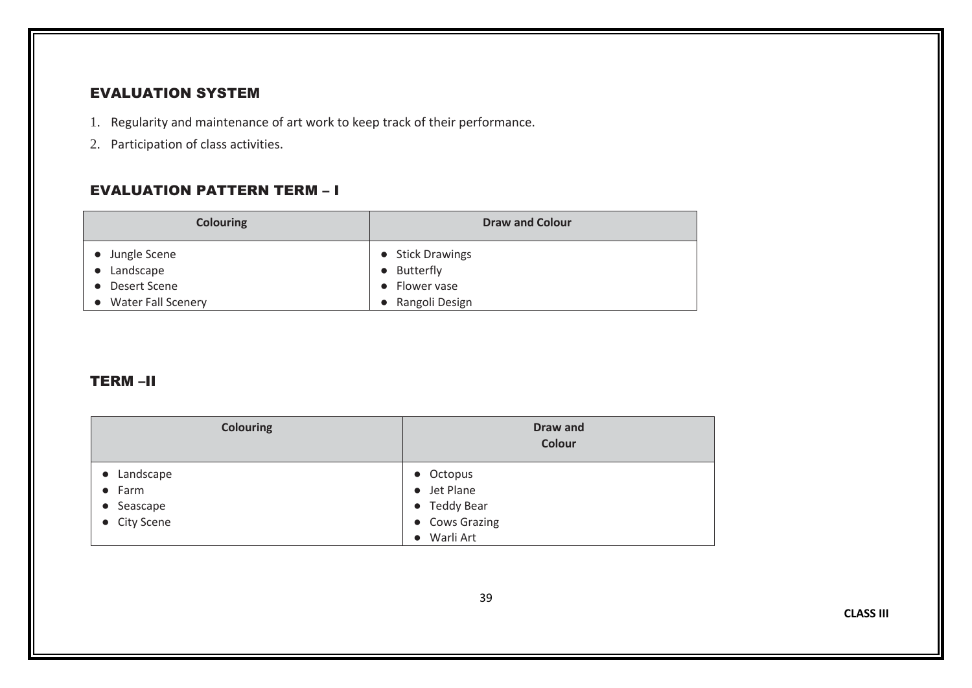#### EVALUATION SYSTEM

- 1. Regularity and maintenance of art work to keep track of their performance.
- 2. Participation of class activities.

#### EVALUATION PATTERN TERM – I

| <b>Colouring</b>                                           | <b>Draw and Colour</b>                           |
|------------------------------------------------------------|--------------------------------------------------|
| • Jungle Scene<br>Landscape<br>$\bullet$<br>• Desert Scene | • Stick Drawings<br>• Butterfly<br>• Flower vase |
| • Water Fall Scenery                                       | Rangoli Design                                   |

#### TERM –II

| <b>Colouring</b>                                            | Draw and<br>Colour                                                                              |
|-------------------------------------------------------------|-------------------------------------------------------------------------------------------------|
| • Landscape<br>$\bullet$ Farm<br>• Seascape<br>• City Scene | Octopus<br>$\bullet$<br>• Jet Plane<br>• Teddy Bear<br>• Cows Grazing<br>Warli Art<br>$\bullet$ |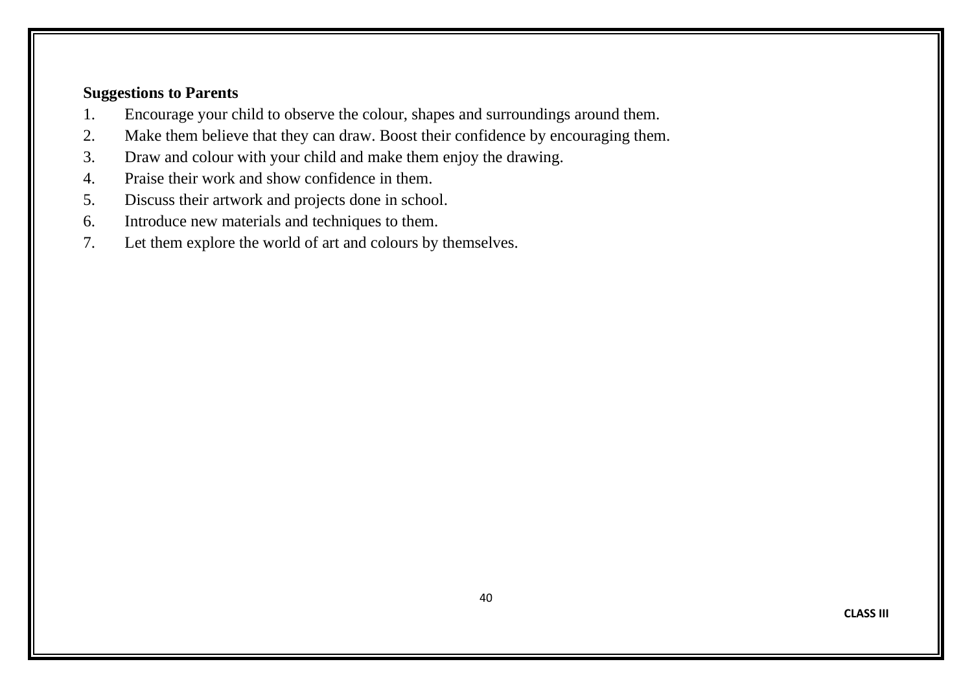- 1. Encourage your child to observe the colour, shapes and surroundings around them.
- 2. Make them believe that they can draw. Boost their confidence by encouraging them.
- 3. Draw and colour with your child and make them enjoy the drawing.
- 4. Praise their work and show confidence in them.
- 5. Discuss their artwork and projects done in school.
- 6. Introduce new materials and techniques to them.
- 7. Let them explore the world of art and colours by themselves.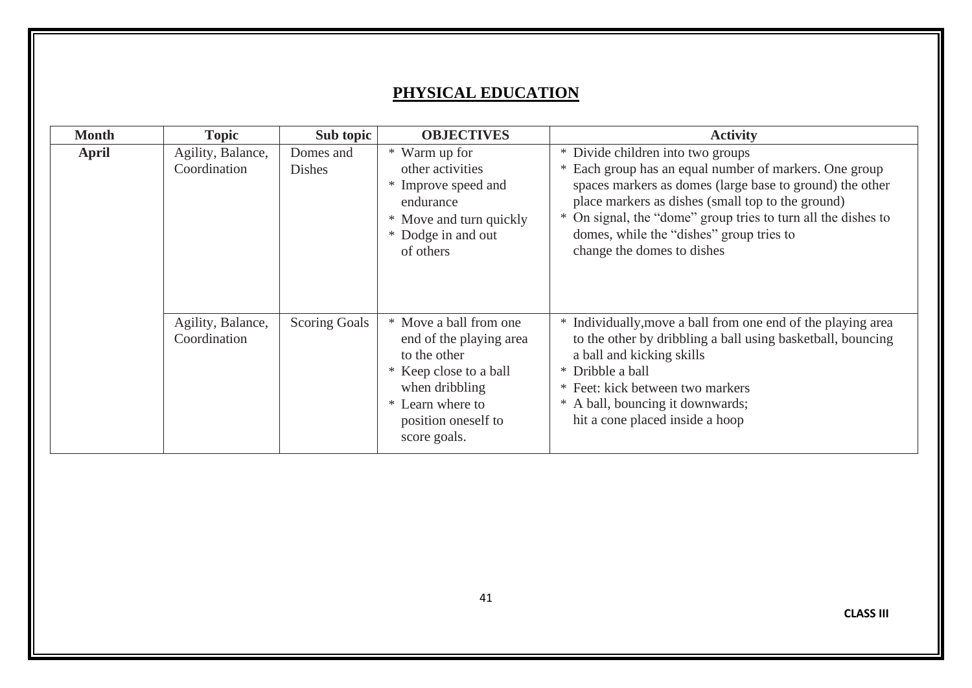# **PHYSICAL EDUCATION**

| <b>Month</b> | <b>Topic</b>                      | Sub topic                  | <b>OBJECTIVES</b>                                                                                                                                                        | <b>Activity</b>                                                                                                                                                                                                                                                                                                                                         |
|--------------|-----------------------------------|----------------------------|--------------------------------------------------------------------------------------------------------------------------------------------------------------------------|---------------------------------------------------------------------------------------------------------------------------------------------------------------------------------------------------------------------------------------------------------------------------------------------------------------------------------------------------------|
| <b>April</b> | Agility, Balance,<br>Coordination | Domes and<br><b>Dishes</b> | * Warm up for<br>other activities<br>* Improve speed and<br>endurance<br>* Move and turn quickly<br>* Dodge in and out<br>of others                                      | * Divide children into two groups<br>* Each group has an equal number of markers. One group<br>spaces markers as domes (large base to ground) the other<br>place markers as dishes (small top to the ground)<br>* On signal, the "dome" group tries to turn all the dishes to<br>domes, while the "dishes" group tries to<br>change the domes to dishes |
|              | Agility, Balance,<br>Coordination | <b>Scoring Goals</b>       | * Move a ball from one<br>end of the playing area<br>to the other<br>* Keep close to a ball<br>when dribbling<br>* Learn where to<br>position oneself to<br>score goals. | * Individually, move a ball from one end of the playing area<br>to the other by dribbling a ball using basketball, bouncing<br>a ball and kicking skills<br>* Dribble a ball<br>* Feet: kick between two markers<br>* A ball, bouncing it downwards;<br>hit a cone placed inside a hoop                                                                 |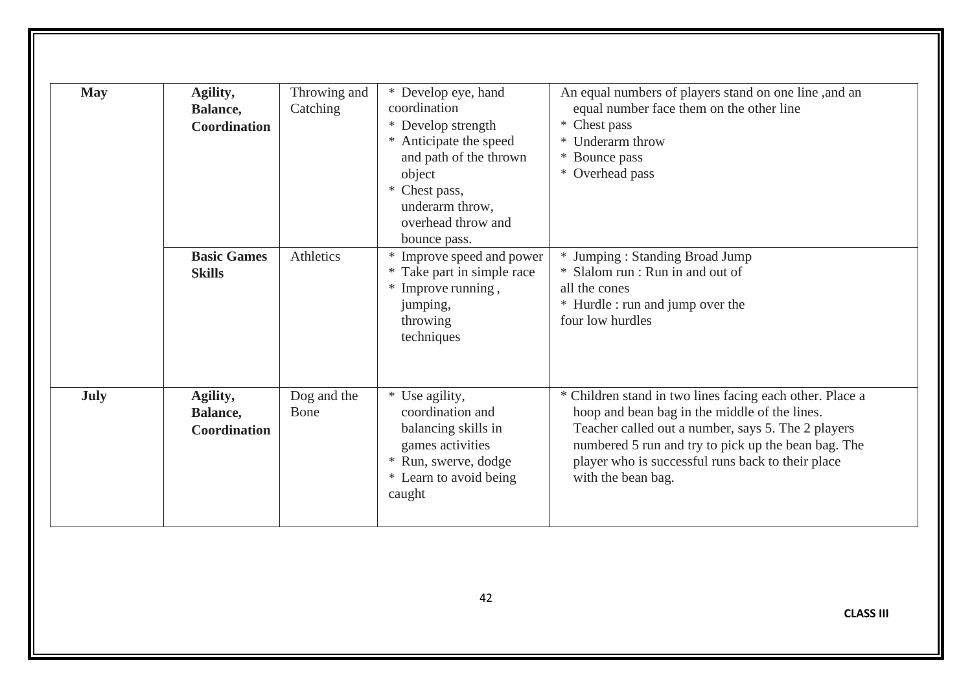| <b>May</b>  | Agility,<br>Balance,<br><b>Coordination</b><br><b>Basic Games</b> | Throwing and<br>Catching<br>Athletics | * Develop eye, hand<br>coordination<br>* Develop strength<br>* Anticipate the speed<br>and path of the thrown<br>object<br>* Chest pass,<br>underarm throw,<br>overhead throw and<br>bounce pass.<br>* Improve speed and power | An equal numbers of players stand on one line ,and an<br>equal number face them on the other line<br>* Chest pass<br>* Underarm throw<br>Bounce pass<br>* Overhead pass<br>* Jumping: Standing Broad Jump                                                                                         |
|-------------|-------------------------------------------------------------------|---------------------------------------|--------------------------------------------------------------------------------------------------------------------------------------------------------------------------------------------------------------------------------|---------------------------------------------------------------------------------------------------------------------------------------------------------------------------------------------------------------------------------------------------------------------------------------------------|
|             | <b>Skills</b>                                                     |                                       | * Take part in simple race<br>* Improve running,<br>jumping,<br>throwing<br>techniques                                                                                                                                         | * Slalom run : Run in and out of<br>all the cones<br>* Hurdle : run and jump over the<br>four low hurdles                                                                                                                                                                                         |
| <b>July</b> | Agility,<br>Balance,<br><b>Coordination</b>                       | Dog and the<br>Bone                   | * Use agility,<br>coordination and<br>balancing skills in<br>games activities<br>* Run, swerve, dodge<br>* Learn to avoid being<br>caught                                                                                      | * Children stand in two lines facing each other. Place a<br>hoop and bean bag in the middle of the lines.<br>Teacher called out a number, says 5. The 2 players<br>numbered 5 run and try to pick up the bean bag. The<br>player who is successful runs back to their place<br>with the bean bag. |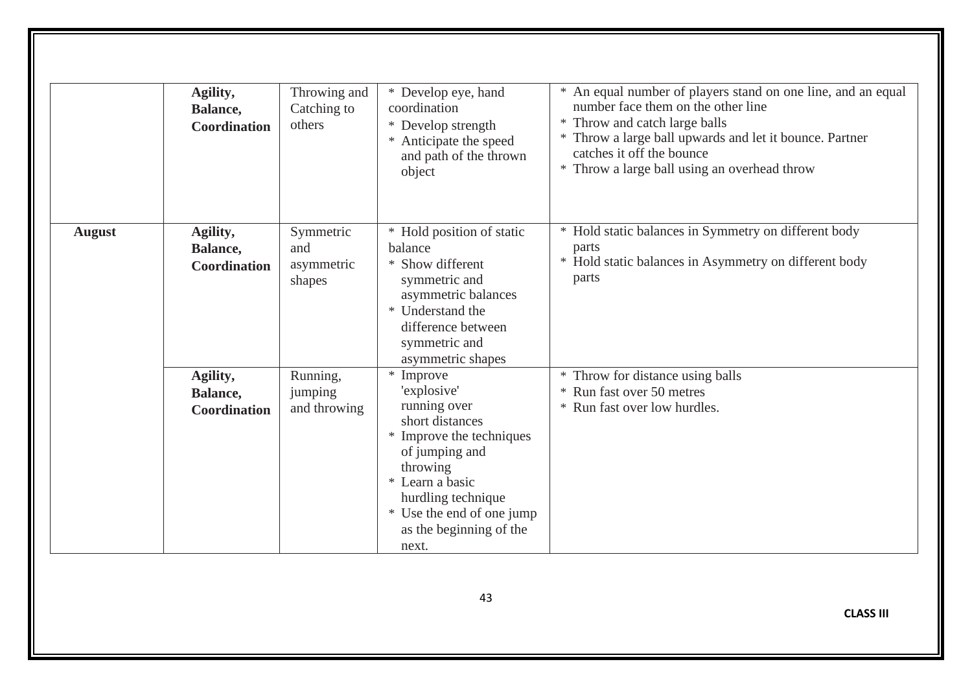|               | Agility,<br>Balance,<br><b>Coordination</b> | Throwing and<br>Catching to<br>others    | * Develop eye, hand<br>coordination<br>* Develop strength<br>* Anticipate the speed<br>and path of the thrown<br>object                                                                                                         | * An equal number of players stand on one line, and an equal<br>number face them on the other line<br>* Throw and catch large balls<br>* Throw a large ball upwards and let it bounce. Partner<br>catches it off the bounce<br>* Throw a large ball using an overhead throw |
|---------------|---------------------------------------------|------------------------------------------|---------------------------------------------------------------------------------------------------------------------------------------------------------------------------------------------------------------------------------|-----------------------------------------------------------------------------------------------------------------------------------------------------------------------------------------------------------------------------------------------------------------------------|
| <b>August</b> | Agility,<br>Balance,<br><b>Coordination</b> | Symmetric<br>and<br>asymmetric<br>shapes | * Hold position of static<br>balance<br>* Show different<br>symmetric and<br>asymmetric balances<br>Understand the<br>difference between<br>symmetric and<br>asymmetric shapes                                                  | * Hold static balances in Symmetry on different body<br>parts<br>* Hold static balances in Asymmetry on different body<br>parts                                                                                                                                             |
|               | Agility,<br>Balance,<br><b>Coordination</b> | Running,<br>jumping<br>and throwing      | * Improve<br>'explosive'<br>running over<br>short distances<br>* Improve the techniques<br>of jumping and<br>throwing<br>* Learn a basic<br>hurdling technique<br>* Use the end of one jump<br>as the beginning of the<br>next. | * Throw for distance using balls<br>* Run fast over 50 metres<br>* Run fast over low hurdles.                                                                                                                                                                               |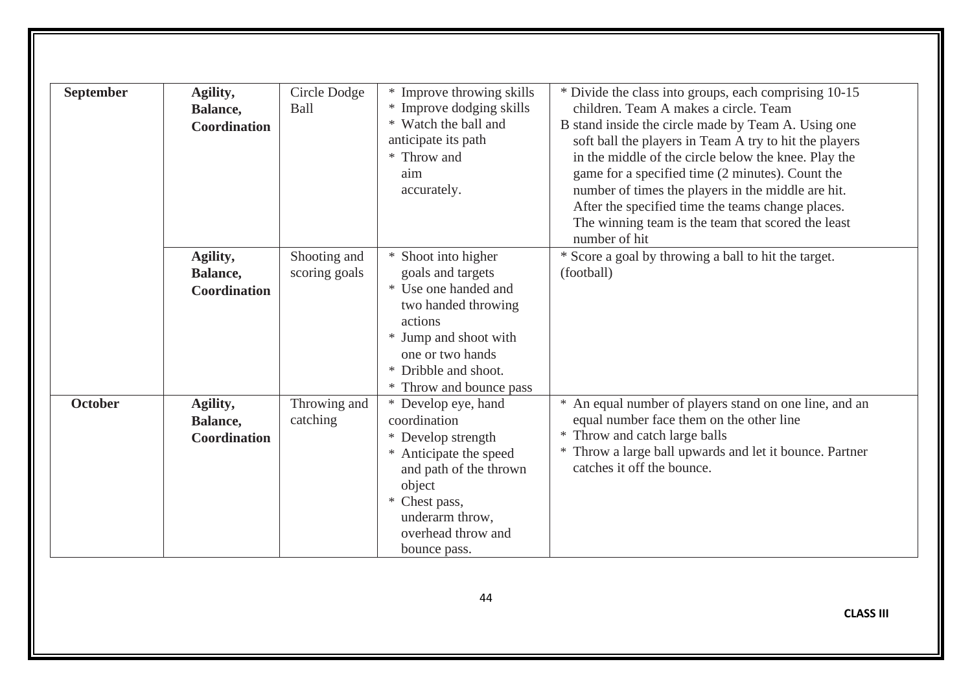| * Divide the class into groups, each comprising 10-15   |
|---------------------------------------------------------|
|                                                         |
| B stand inside the circle made by Team A. Using one     |
| soft ball the players in Team A try to hit the players  |
| in the middle of the circle below the knee. Play the    |
| game for a specified time (2 minutes). Count the        |
| number of times the players in the middle are hit.      |
| After the specified time the teams change places.       |
| The winning team is the team that scored the least      |
|                                                         |
| * Score a goal by throwing a ball to hit the target.    |
|                                                         |
|                                                         |
|                                                         |
|                                                         |
|                                                         |
|                                                         |
|                                                         |
|                                                         |
| * An equal number of players stand on one line, and an  |
|                                                         |
|                                                         |
| * Throw a large ball upwards and let it bounce. Partner |
|                                                         |
|                                                         |
|                                                         |
|                                                         |
|                                                         |
|                                                         |
|                                                         |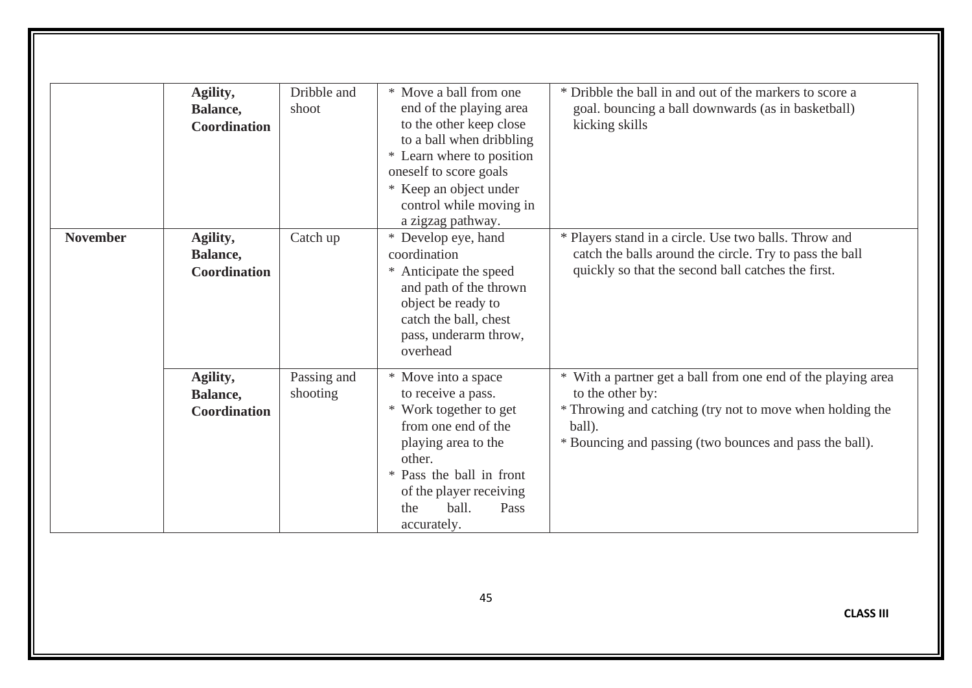|                 | Agility,<br>Balance,<br><b>Coordination</b> | Dribble and<br>shoot    | * Move a ball from one<br>end of the playing area<br>to the other keep close<br>to a ball when dribbling<br>* Learn where to position<br>oneself to score goals<br>* Keep an object under<br>control while moving in<br>a zigzag pathway. | * Dribble the ball in and out of the markers to score a<br>goal. bouncing a ball downwards (as in basketball)<br>kicking skills                                                                                    |
|-----------------|---------------------------------------------|-------------------------|-------------------------------------------------------------------------------------------------------------------------------------------------------------------------------------------------------------------------------------------|--------------------------------------------------------------------------------------------------------------------------------------------------------------------------------------------------------------------|
| <b>November</b> | Agility,<br>Balance,<br><b>Coordination</b> | Catch up                | * Develop eye, hand<br>coordination<br>Anticipate the speed<br>$*$<br>and path of the thrown<br>object be ready to<br>catch the ball, chest<br>pass, underarm throw,<br>overhead                                                          | * Players stand in a circle. Use two balls. Throw and<br>catch the balls around the circle. Try to pass the ball<br>quickly so that the second ball catches the first.                                             |
|                 | Agility,<br>Balance,<br><b>Coordination</b> | Passing and<br>shooting | * Move into a space<br>to receive a pass.<br>Work together to get<br>∗<br>from one end of the<br>playing area to the<br>other.<br>Pass the ball in front<br>∗<br>of the player receiving<br>ball.<br>Pass<br>the<br>accurately.           | * With a partner get a ball from one end of the playing area<br>to the other by:<br>* Throwing and catching (try not to move when holding the<br>ball).<br>* Bouncing and passing (two bounces and pass the ball). |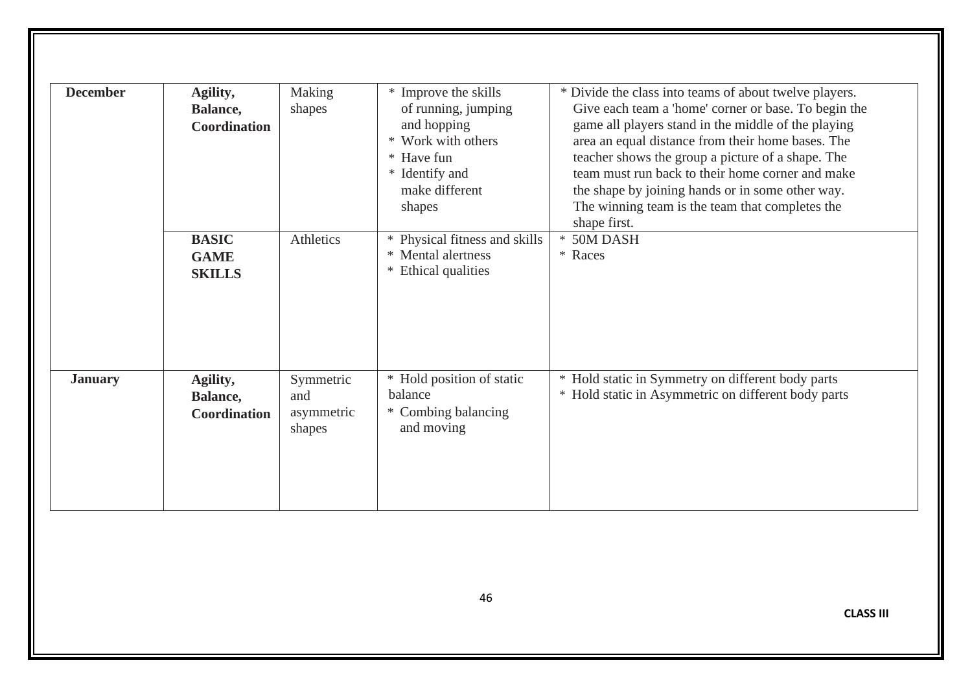| <b>December</b> | Agility,<br>Balance,<br>Coordination         | Making<br>shapes                         | * Improve the skills<br>of running, jumping<br>and hopping<br>* Work with others<br>* Have fun | * Divide the class into teams of about twelve players.<br>Give each team a 'home' corner or base. To begin the<br>game all players stand in the middle of the playing<br>area an equal distance from their home bases. The<br>teacher shows the group a picture of a shape. The |
|-----------------|----------------------------------------------|------------------------------------------|------------------------------------------------------------------------------------------------|---------------------------------------------------------------------------------------------------------------------------------------------------------------------------------------------------------------------------------------------------------------------------------|
|                 |                                              |                                          | * Identify and<br>make different<br>shapes                                                     | team must run back to their home corner and make<br>the shape by joining hands or in some other way.<br>The winning team is the team that completes the<br>shape first.                                                                                                         |
|                 | <b>BASIC</b><br><b>GAME</b><br><b>SKILLS</b> | Athletics                                | * Physical fitness and skills<br>* Mental alertness<br>Ethical qualities<br>$*$                | * 50M DASH<br>* Races                                                                                                                                                                                                                                                           |
| <b>January</b>  | Agility,<br>Balance,<br><b>Coordination</b>  | Symmetric<br>and<br>asymmetric<br>shapes | * Hold position of static<br>balance<br>* Combing balancing<br>and moving                      | * Hold static in Symmetry on different body parts<br>* Hold static in Asymmetric on different body parts                                                                                                                                                                        |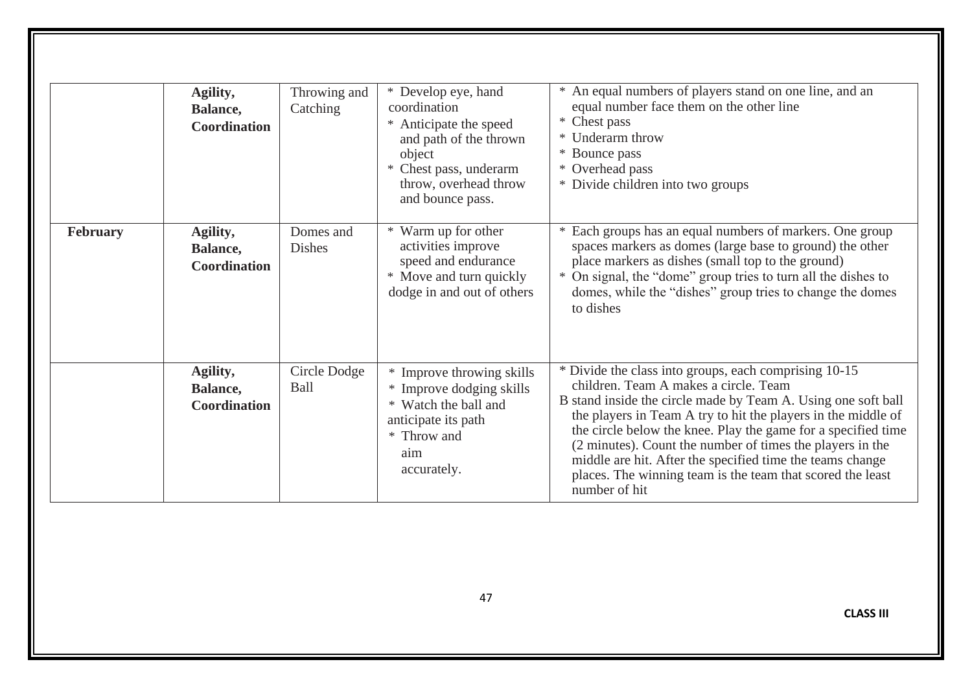|          | Agility,<br>Balance,<br>Coordination        | Throwing and<br>Catching   | * Develop eye, hand<br>coordination<br>* Anticipate the speed<br>and path of the thrown                                                 | * An equal numbers of players stand on one line, and an<br>equal number face them on the other line<br>* Chest pass<br>* Underarm throw                                                                                                                                                                                                                                                                                                                                                                    |
|----------|---------------------------------------------|----------------------------|-----------------------------------------------------------------------------------------------------------------------------------------|------------------------------------------------------------------------------------------------------------------------------------------------------------------------------------------------------------------------------------------------------------------------------------------------------------------------------------------------------------------------------------------------------------------------------------------------------------------------------------------------------------|
|          |                                             |                            | object<br>* Chest pass, underarm<br>throw, overhead throw<br>and bounce pass.                                                           | * Bounce pass<br>* Overhead pass<br>* Divide children into two groups                                                                                                                                                                                                                                                                                                                                                                                                                                      |
| February | Agility,<br>Balance,<br><b>Coordination</b> | Domes and<br><b>Dishes</b> | * Warm up for other<br>activities improve<br>speed and endurance<br>* Move and turn quickly<br>dodge in and out of others               | Each groups has an equal numbers of markers. One group<br>spaces markers as domes (large base to ground) the other<br>place markers as dishes (small top to the ground)<br>* On signal, the "dome" group tries to turn all the dishes to<br>domes, while the "dishes" group tries to change the domes<br>to dishes                                                                                                                                                                                         |
|          | Agility,<br>Balance,<br>Coordination        | Circle Dodge<br>Ball       | * Improve throwing skills<br>* Improve dodging skills<br>Watch the ball and<br>anticipate its path<br>* Throw and<br>aim<br>accurately. | * Divide the class into groups, each comprising 10-15<br>children. Team A makes a circle. Team<br>B stand inside the circle made by Team A. Using one soft ball<br>the players in Team A try to hit the players in the middle of<br>the circle below the knee. Play the game for a specified time<br>(2 minutes). Count the number of times the players in the<br>middle are hit. After the specified time the teams change<br>places. The winning team is the team that scored the least<br>number of hit |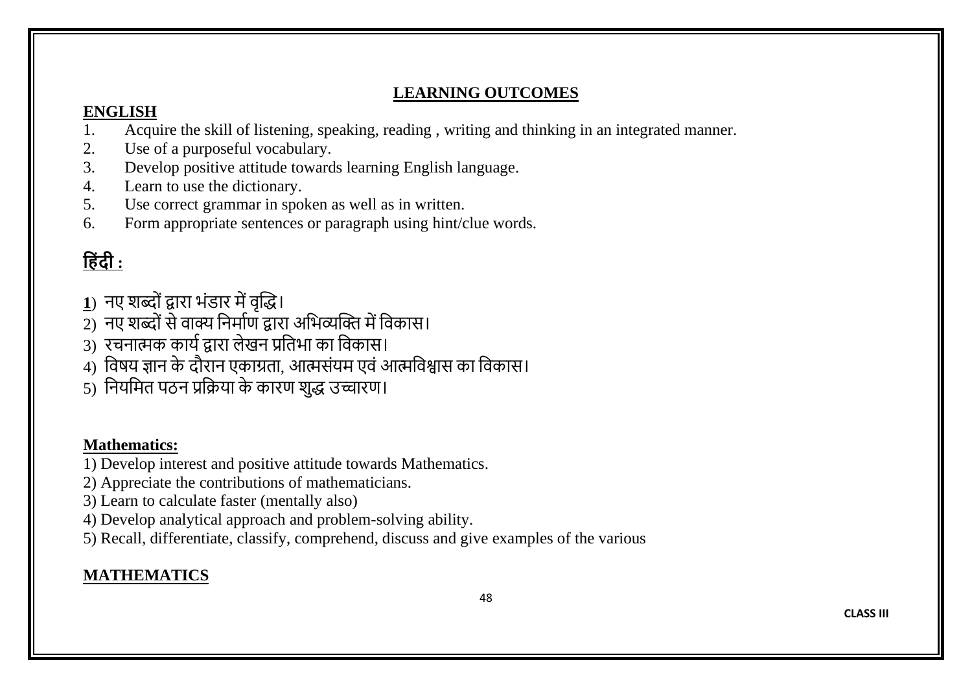# **LEARNING OUTCOMES**

# **ENGLISH**

- 1. Acquire the skill of listening, speaking, reading , writing and thinking in an integrated manner.
- 2. Use of a purposeful vocabulary.<br>3. Develop positive attitude toward
- Develop positive attitude towards learning English language.
- 4. Learn to use the dictionary.
- 5. Use correct grammar in spoken as well as in written.
- 6. Form appropriate sentences or paragraph using hint/clue words.

# **ह िंदी :**

- **1**) नए शब्दोंद्वारा भोंडार मेंवृद्धि।
- =<br>2) नए शब्दों से वाक्य निर्माण द्वारा अभिव्यक्ति में विकास।
- 3) रचनात्मक कार्ाद्वारा लेखन प्रनिभा का नवकास।
- 4) विषय ज्ञान के दौरान एकाग्रता, आत्मसंयम एवं आत्मविश्वास का विकास।
- 5) नियमित पठन प्रक्रिया के कारण शुद्ध उच्चारण।

# **Mathematics:**

- 1) Develop interest and positive attitude towards Mathematics.
- 2) Appreciate the contributions of mathematicians.
- 3) Learn to calculate faster (mentally also)
- 4) Develop analytical approach and problem-solving ability.
- 5) Recall, differentiate, classify, comprehend, discuss and give examples of the various

# **MATHEMATICS**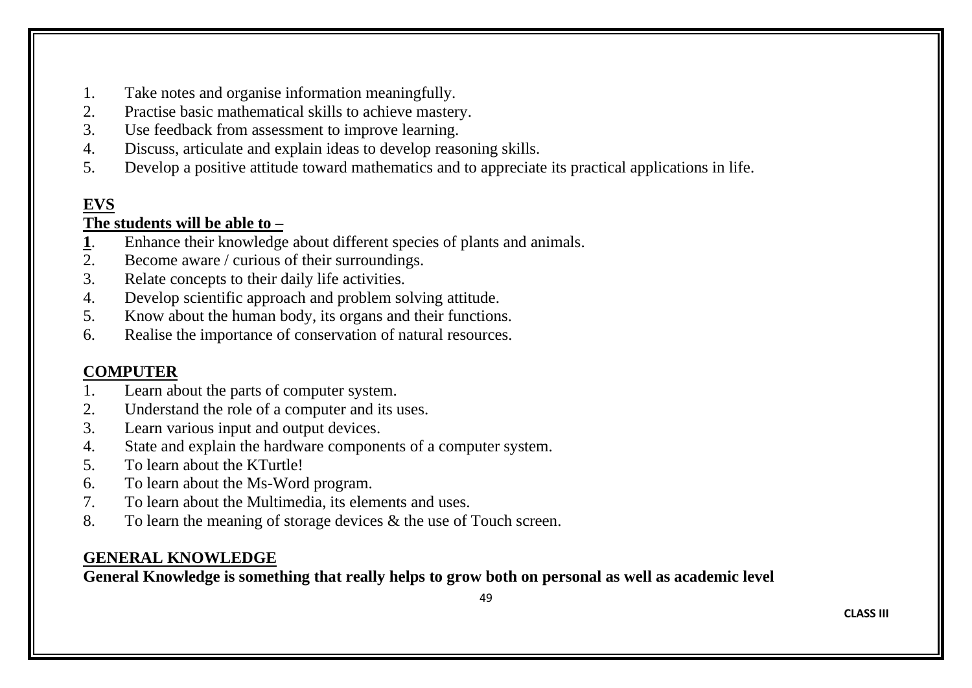- 1. Take notes and organise information meaningfully.
- 2. Practise basic mathematical skills to achieve mastery.
- 3. Use feedback from assessment to improve learning.
- 4. Discuss, articulate and explain ideas to develop reasoning skills.
- 5. Develop a positive attitude toward mathematics and to appreciate its practical applications in life.

# **EVS**

# **The students will be able to –**

- **1**. Enhance their knowledge about different species of plants and animals.
- 2. Become aware / curious of their surroundings.
- 3. Relate concepts to their daily life activities.
- 4. Develop scientific approach and problem solving attitude.
- 5. Know about the human body, its organs and their functions.
- 6. Realise the importance of conservation of natural resources.

# **COMPUTER**

- 1. Learn about the parts of computer system.
- 2. Understand the role of a computer and its uses.
- 3. Learn various input and output devices.
- 4. State and explain the hardware components of a computer system.
- 5. To learn about the KTurtle!
- 6. To learn about the Ms-Word program.
- 7. To learn about the Multimedia, its elements and uses.
- 8. To learn the meaning of storage devices & the use of Touch screen.

# **GENERAL KNOWLEDGE**

**General Knowledge is something that really helps to grow both on personal as well as academic level**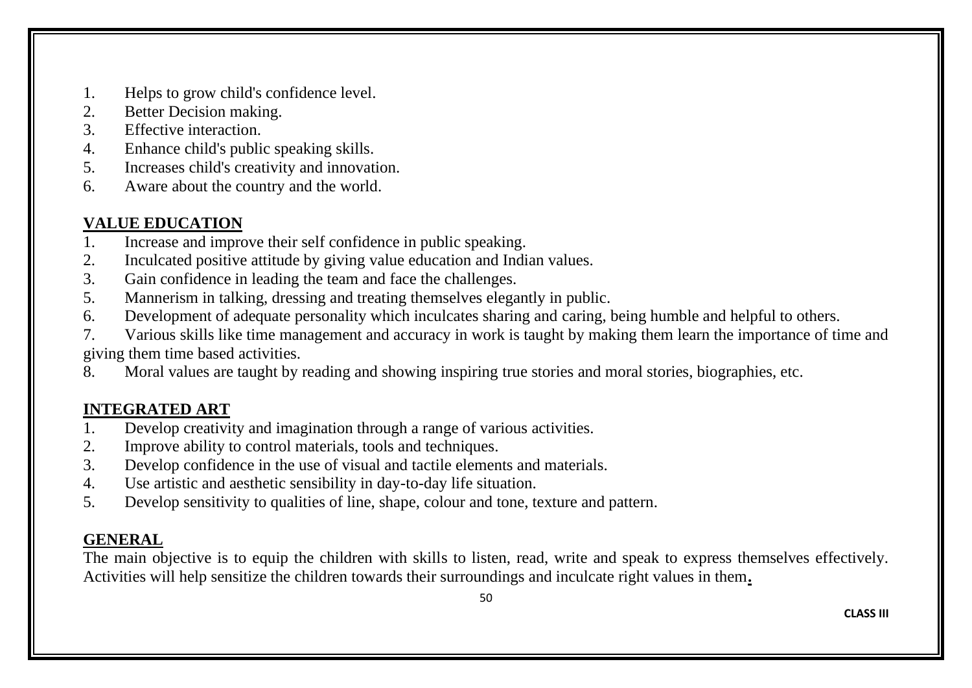- 1. Helps to grow child's confidence level.
- 2. Better Decision making.<br>3 Effective interaction
- Effective interaction
- 4. Enhance child's public speaking skills.
- 5. Increases child's creativity and innovation.
- 6. Aware about the country and the world.

# **VALUE EDUCATION**

- 1. Increase and improve their self confidence in public speaking.
- 2. Inculcated positive attitude by giving value education and Indian values.
- 3. Gain confidence in leading the team and face the challenges.
- 5. Mannerism in talking, dressing and treating themselves elegantly in public.
- 6. Development of adequate personality which inculcates sharing and caring, being humble and helpful to others.
- 7. Various skills like time management and accuracy in work is taught by making them learn the importance of time and giving them time based activities.
- 8. Moral values are taught by reading and showing inspiring true stories and moral stories, biographies, etc.

# **INTEGRATED ART**

- 1. Develop creativity and imagination through a range of various activities.
- 2. Improve ability to control materials, tools and techniques.
- 3. Develop confidence in the use of visual and tactile elements and materials.
- 4. Use artistic and aesthetic sensibility in day-to-day life situation.
- 5. Develop sensitivity to qualities of line, shape, colour and tone, texture and pattern.

# **GENERAL**

The main objective is to equip the children with skills to listen, read, write and speak to express themselves effectively. Activities will help sensitize the children towards their surroundings and inculcate right values in them**.**